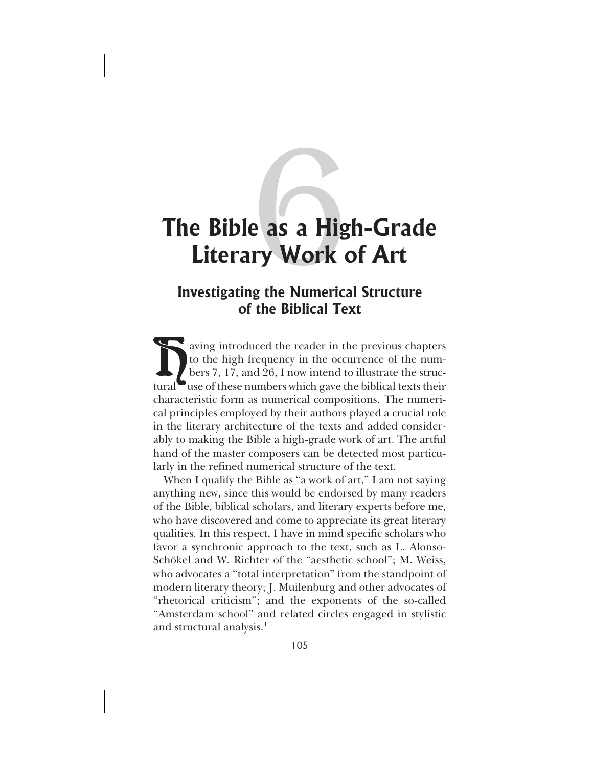# **Investigating the Numerical Structure of the Biblical Text**

aving introduced the reader in the previous chapters<br>to the high frequency in the occurrence of the num-<br>bers 7, 17, and 26, I now intend to illustrate the struc-<br>tural use of these numbers which gave the biblical texts th to the high frequency in the occurrence of the numbers 7, 17, and 26, I now intend to illustrate the struc- $\text{tural}$  use of these numbers which gave the biblical texts their characteristic form as numerical compositions. The numerical principles employed by their authors played a crucial role in the literary architecture of the texts and added considerably to making the Bible a high-grade work of art. The artful hand of the master composers can be detected most particularly in the refined numerical structure of the text.

When I qualify the Bible as "a work of art," I am not saying anything new, since this would be endorsed by many readers of the Bible, biblical scholars, and literary experts before me, who have discovered and come to appreciate its great literary qualities. In this respect, I have in mind specific scholars who favor a synchronic approach to the text, such as L. Alonso-Schökel and W. Richter of the "aesthetic school"; M. Weiss, who advocates a "total interpretation" from the standpoint of modern literary theory; J. Muilenburg and other advocates of "rhetorical criticism"; and the exponents of the so-called "Amsterdam school" and related circles engaged in stylistic and structural analysis.<sup>1</sup>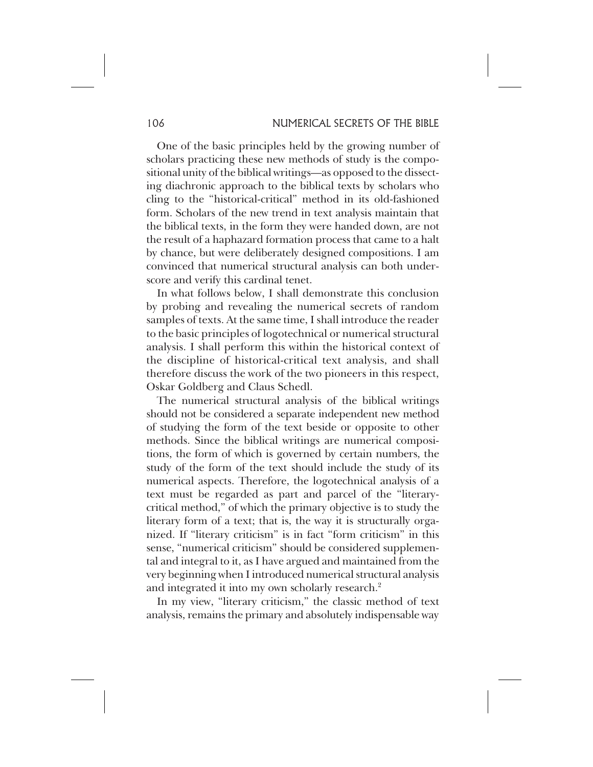One of the basic principles held by the growing number of scholars practicing these new methods of study is the compositional unity of the biblical writings—as opposed to the dissecting diachronic approach to the biblical texts by scholars who cling to the "historical-critical" method in its old-fashioned form. Scholars of the new trend in text analysis maintain that the biblical texts, in the form they were handed down, are not the result of a haphazard formation process that came to a halt by chance, but were deliberately designed compositions. I am convinced that numerical structural analysis can both underscore and verify this cardinal tenet.

In what follows below, I shall demonstrate this conclusion by probing and revealing the numerical secrets of random samples of texts. At the same time, I shall introduce the reader to the basic principles of logotechnical or numerical structural analysis. I shall perform this within the historical context of the discipline of historical-critical text analysis, and shall therefore discuss the work of the two pioneers in this respect, Oskar Goldberg and Claus Schedl.

The numerical structural analysis of the biblical writings should not be considered a separate independent new method of studying the form of the text beside or opposite to other methods. Since the biblical writings are numerical compositions, the form of which is governed by certain numbers, the study of the form of the text should include the study of its numerical aspects. Therefore, the logotechnical analysis of a text must be regarded as part and parcel of the "literarycritical method," of which the primary objective is to study the literary form of a text; that is, the way it is structurally organized. If "literary criticism" is in fact "form criticism" in this sense, "numerical criticism" should be considered supplemental and integral to it, as I have argued and maintained from the very beginning when I introduced numerical structural analysis and integrated it into my own scholarly research.<sup>2</sup>

In my view, "literary criticism," the classic method of text analysis, remains the primary and absolutely indispensable way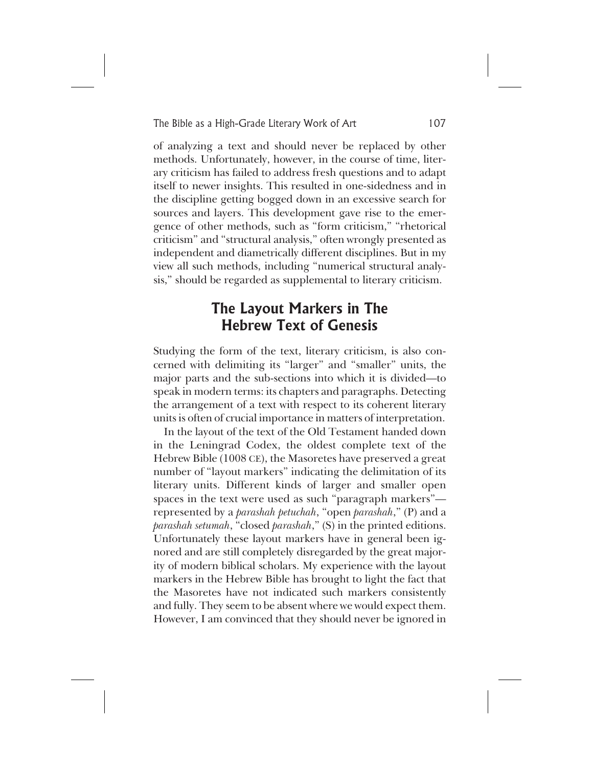of analyzing a text and should never be replaced by other methods. Unfortunately, however, in the course of time, literary criticism has failed to address fresh questions and to adapt itself to newer insights. This resulted in one-sidedness and in the discipline getting bogged down in an excessive search for sources and layers. This development gave rise to the emergence of other methods, such as "form criticism," "rhetorical criticism" and "structural analysis," often wrongly presented as independent and diametrically different disciplines. But in my view all such methods, including "numerical structural analysis," should be regarded as supplemental to literary criticism.

# **The Layout Markers in The Hebrew Text of Genesis**

Studying the form of the text, literary criticism, is also concerned with delimiting its "larger" and "smaller" units, the major parts and the sub-sections into which it is divided—to speak in modern terms: its chapters and paragraphs. Detecting the arrangement of a text with respect to its coherent literary units is often of crucial importance in matters of interpretation.

In the layout of the text of the Old Testament handed down in the Leningrad Codex, the oldest complete text of the Hebrew Bible (1008 CE), the Masoretes have preserved a great number of "layout markers" indicating the delimitation of its literary units. Different kinds of larger and smaller open spaces in the text were used as such "paragraph markers" represented by a *parashah petuchah*, "open *parashah*," (P) and a *parashah setumah*, "closed *parashah*," (S) in the printed editions. Unfortunately these layout markers have in general been ignored and are still completely disregarded by the great majority of modern biblical scholars. My experience with the layout markers in the Hebrew Bible has brought to light the fact that the Masoretes have not indicated such markers consistently and fully. They seem to be absent where we would expect them. However, I am convinced that they should never be ignored in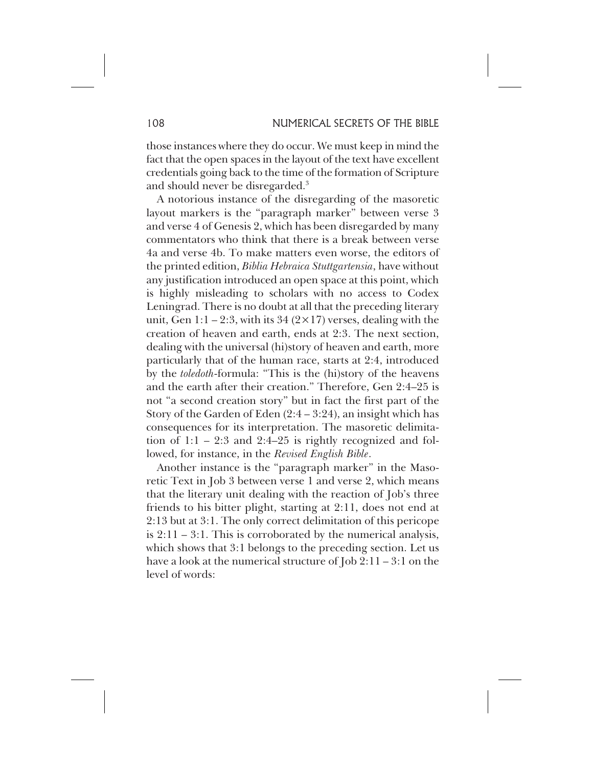those instances where they do occur. We must keep in mind the fact that the open spaces in the layout of the text have excellent credentials going back to the time of the formation of Scripture and should never be disregarded.<sup>3</sup>

A notorious instance of the disregarding of the masoretic layout markers is the "paragraph marker" between verse 3 and verse 4 of Genesis 2, which has been disregarded by many commentators who think that there is a break between verse 4a and verse 4b. To make matters even worse, the editors of the printed edition, *Biblia Hebraica Stuttgartensia*, have without any justification introduced an open space at this point, which is highly misleading to scholars with no access to Codex Leningrad. There is no doubt at all that the preceding literary unit, Gen  $1:1 - 2:3$ , with its 34 ( $2 \times 17$ ) verses, dealing with the creation of heaven and earth, ends at 2:3. The next section, dealing with the universal (hi)story of heaven and earth, more particularly that of the human race, starts at 2:4, introduced by the *toledoth*-formula: "This is the (hi)story of the heavens and the earth after their creation." Therefore, Gen 2:4–25 is not "a second creation story" but in fact the first part of the Story of the Garden of Eden (2:4 – 3:24), an insight which has consequences for its interpretation. The masoretic delimitation of  $1:1 - 2:3$  and  $2:4-25$  is rightly recognized and followed, for instance, in the *Revised English Bible*.

Another instance is the "paragraph marker" in the Masoretic Text in Job 3 between verse 1 and verse 2, which means that the literary unit dealing with the reaction of Job's three friends to his bitter plight, starting at 2:11, does not end at 2:13 but at 3:1. The only correct delimitation of this pericope is 2:11 – 3:1. This is corroborated by the numerical analysis, which shows that 3:1 belongs to the preceding section. Let us have a look at the numerical structure of Job 2:11 – 3:1 on the level of words: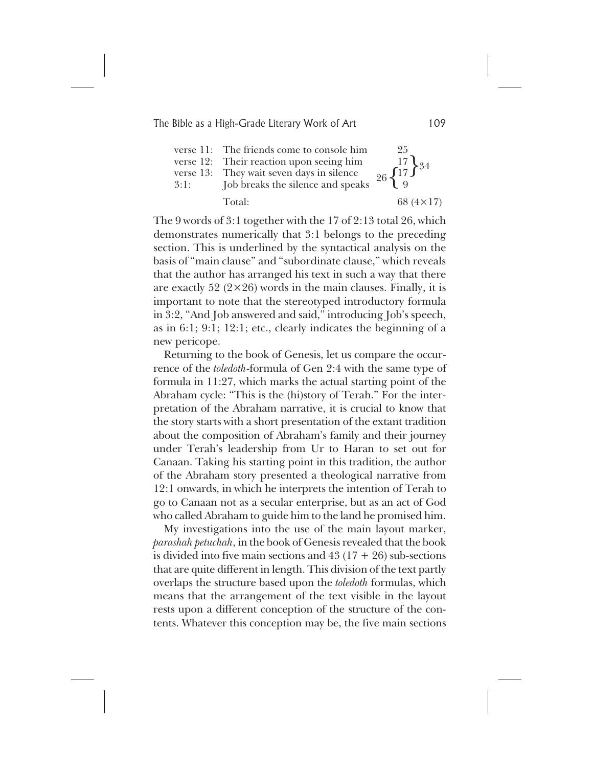|      | verse 11: The friends come to console him | 25                                                           |
|------|-------------------------------------------|--------------------------------------------------------------|
|      | verse 12: Their reaction upon seeing him  | $\frac{17}{26}$ $\frac{17}{9}$ $\frac{17}{9}$ $\frac{34}{9}$ |
|      | verse 13: They wait seven days in silence |                                                              |
| 3:1: | Job breaks the silence and speaks         |                                                              |
|      | Total:                                    | 68 $(4 \times 17)$                                           |

The 9 words of 3:1 together with the 17 of 2:13 total 26, which demonstrates numerically that 3:1 belongs to the preceding section. This is underlined by the syntactical analysis on the basis of "main clause" and "subordinate clause," which reveals that the author has arranged his text in such a way that there are exactly 52 ( $2 \times 26$ ) words in the main clauses. Finally, it is important to note that the stereotyped introductory formula in 3:2, "And Job answered and said," introducing Job's speech, as in 6:1; 9:1; 12:1; etc., clearly indicates the beginning of a new pericope.

Returning to the book of Genesis, let us compare the occurrence of the *toledoth*-formula of Gen 2:4 with the same type of formula in 11:27, which marks the actual starting point of the Abraham cycle: "This is the (hi)story of Terah." For the interpretation of the Abraham narrative, it is crucial to know that the story starts with a short presentation of the extant tradition about the composition of Abraham's family and their journey under Terah's leadership from Ur to Haran to set out for Canaan. Taking his starting point in this tradition, the author of the Abraham story presented a theological narrative from 12:1 onwards, in which he interprets the intention of Terah to go to Canaan not as a secular enterprise, but as an act of God who called Abraham to guide him to the land he promised him.

My investigations into the use of the main layout marker, *parashah petuchah*, in the book of Genesis revealed that the book is divided into five main sections and  $43(17 + 26)$  sub-sections that are quite different in length. This division of the text partly overlaps the structure based upon the *toledoth* formulas, which means that the arrangement of the text visible in the layout rests upon a different conception of the structure of the contents. Whatever this conception may be, the five main sections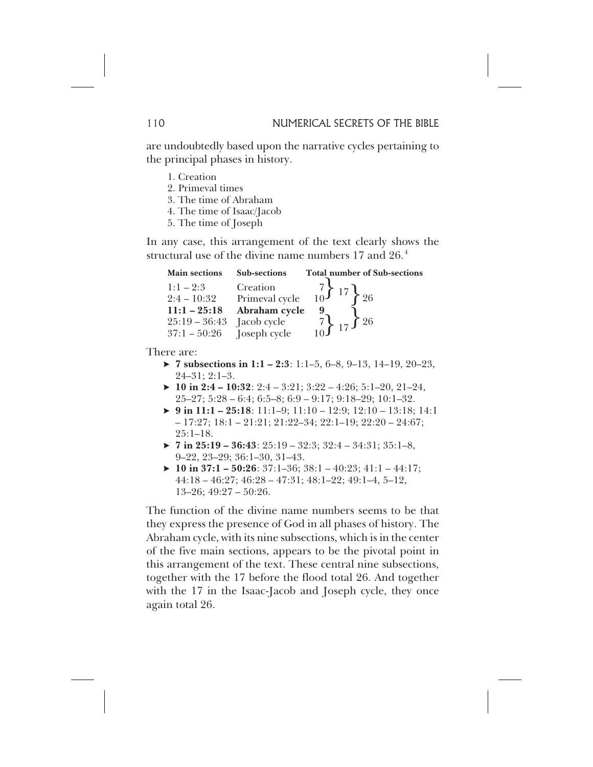are undoubtedly based upon the narrative cycles pertaining to the principal phases in history.

- 1. Creation
- 2. Primeval times
- 3. The time of Abraham
- 4. The time of Isaac/Jacob
- 5. The time of Joseph

In any case, this arrangement of the text clearly shows the structural use of the divine name numbers 17 and 26.<sup>4</sup>

| <b>Main sections</b> | <b>Sub-sections</b> | <b>Total number of Sub-sections</b>                    |
|----------------------|---------------------|--------------------------------------------------------|
| $1:1-2:3$            | Creation            | $\begin{matrix} 7 \\ 10 \end{matrix}$ 17 $\}$ 26       |
| $2:4-10:32$          | Primeval cycle      |                                                        |
| $11:1 - 25:18$       | Abraham cycle       |                                                        |
| $25:19 - 36:43$      | Jacob cycle         | $\begin{array}{c} 7 \\ 10 \end{array}$ 17 $\hat{J}$ 26 |
| $37:1 - 50:26$       | Joseph cycle        |                                                        |

There are:

- **7 subsections in 1:1 2:3**: 1:1–5, 6–8, 9–13, 14–19, 20–23, 24–31; 2:1–3.
- $\blacktriangleright$  10 in 2:4 10:32: 2:4 3:21; 3:22 4:26; 5:1–20, 21–24, 25–27; 5:28 – 6:4; 6:5–8; 6:9 – 9:17; 9:18–29; 10:1–32.
- **9 in 11:1 25:18**: 11:1–9; 11:10 12:9; 12:10 13:18; 14:1 – 17:27; 18:1 – 21:21; 21:22–34; 22:1–19; 22:20 – 24:67; 25:1–18.
- **7 in 25:19 36:43**: 25:19 32:3; 32:4 34:31; 35:1–8, 9–22, 23–29; 36:1–30, 31–43.
- $\blacktriangleright$  10 in 37:1 50:26: 37:1–36; 38:1 40:23; 41:1 44:17; 44:18 – 46:27; 46:28 – 47:31; 48:1–22; 49:1–4, 5–12, 13–26; 49:27 – 50:26.

The function of the divine name numbers seems to be that they express the presence of God in all phases of history. The Abraham cycle, with its nine subsections, which is in the center of the five main sections, appears to be the pivotal point in this arrangement of the text. These central nine subsections, together with the 17 before the flood total 26. And together with the 17 in the Isaac-Jacob and Joseph cycle, they once again total 26.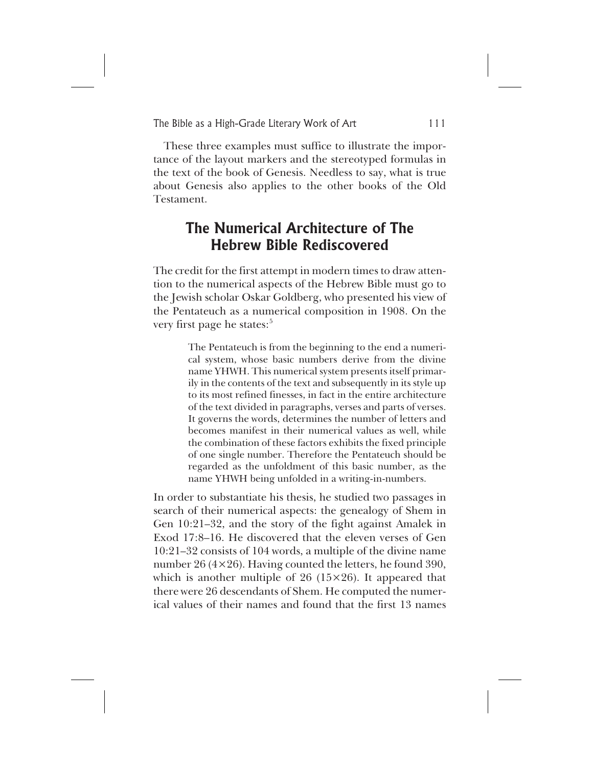These three examples must suffice to illustrate the importance of the layout markers and the stereotyped formulas in the text of the book of Genesis. Needless to say, what is true about Genesis also applies to the other books of the Old Testament.

# **The Numerical Architecture of The Hebrew Bible Rediscovered**

The credit for the first attempt in modern times to draw attention to the numerical aspects of the Hebrew Bible must go to the Jewish scholar Oskar Goldberg, who presented his view of the Pentateuch as a numerical composition in 1908. On the very first page he states:<sup>5</sup>

> The Pentateuch is from the beginning to the end a numerical system, whose basic numbers derive from the divine name YHWH. This numerical system presents itself primarily in the contents of the text and subsequently in its style up to its most refined finesses, in fact in the entire architecture of the text divided in paragraphs, verses and parts of verses. It governs the words, determines the number of letters and becomes manifest in their numerical values as well, while the combination of these factors exhibits the fixed principle of one single number. Therefore the Pentateuch should be regarded as the unfoldment of this basic number, as the name YHWH being unfolded in a writing-in-numbers.

In order to substantiate his thesis, he studied two passages in search of their numerical aspects: the genealogy of Shem in Gen 10:21–32, and the story of the fight against Amalek in Exod 17:8–16. He discovered that the eleven verses of Gen 10:21–32 consists of 104 words, a multiple of the divine name number 26 (4×26). Having counted the letters, he found 390, which is another multiple of 26 (15 $\times$ 26). It appeared that there were 26 descendants of Shem. He computed the numerical values of their names and found that the first 13 names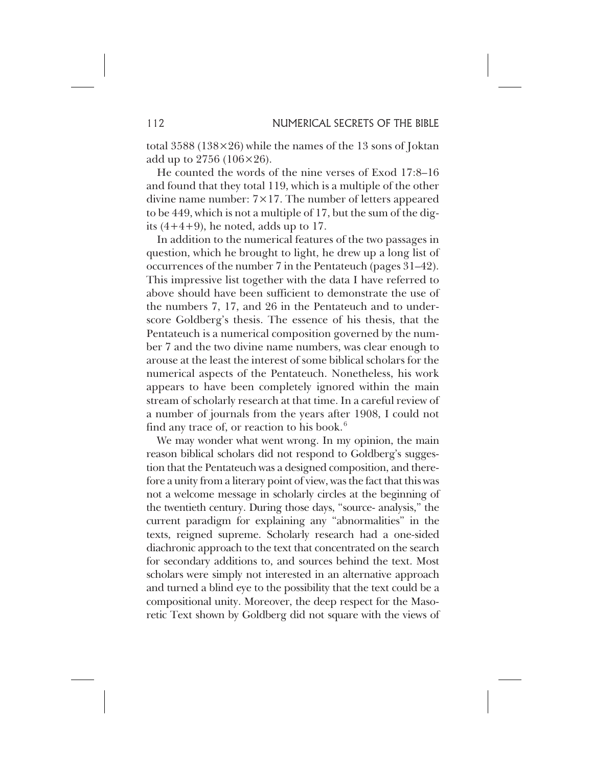total 3588 (138×26) while the names of the 13 sons of Joktan add up to  $2756 (106 \times 26)$ .

He counted the words of the nine verses of Exod 17:8–16 and found that they total 119, which is a multiple of the other divine name number: 7×17. The number of letters appeared to be 449, which is not a multiple of 17, but the sum of the digits  $(4+4+9)$ , he noted, adds up to 17.

In addition to the numerical features of the two passages in question, which he brought to light, he drew up a long list of occurrences of the number 7 in the Pentateuch (pages 31–42). This impressive list together with the data I have referred to above should have been sufficient to demonstrate the use of the numbers 7, 17, and 26 in the Pentateuch and to underscore Goldberg's thesis. The essence of his thesis, that the Pentateuch is a numerical composition governed by the number 7 and the two divine name numbers, was clear enough to arouse at the least the interest of some biblical scholars for the numerical aspects of the Pentateuch. Nonetheless, his work appears to have been completely ignored within the main stream of scholarly research at that time. In a careful review of a number of journals from the years after 1908, I could not find any trace of, or reaction to his book. $6$ 

We may wonder what went wrong. In my opinion, the main reason biblical scholars did not respond to Goldberg's suggestion that the Pentateuch was a designed composition, and therefore a unity from a literary point of view, was the fact that this was not a welcome message in scholarly circles at the beginning of the twentieth century. During those days, "source- analysis," the current paradigm for explaining any "abnormalities" in the texts, reigned supreme. Scholarly research had a one-sided diachronic approach to the text that concentrated on the search for secondary additions to, and sources behind the text. Most scholars were simply not interested in an alternative approach and turned a blind eye to the possibility that the text could be a compositional unity. Moreover, the deep respect for the Masoretic Text shown by Goldberg did not square with the views of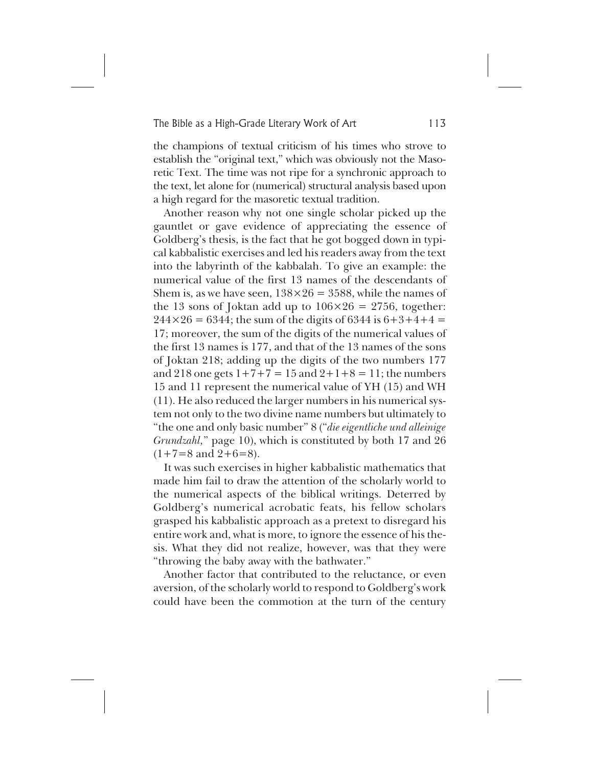the champions of textual criticism of his times who strove to establish the "original text," which was obviously not the Masoretic Text. The time was not ripe for a synchronic approach to the text, let alone for (numerical) structural analysis based upon a high regard for the masoretic textual tradition.

Another reason why not one single scholar picked up the gauntlet or gave evidence of appreciating the essence of Goldberg's thesis, is the fact that he got bogged down in typical kabbalistic exercises and led his readers away from the text into the labyrinth of the kabbalah. To give an example: the numerical value of the first 13 names of the descendants of Shem is, as we have seen,  $138\times26 = 3588$ , while the names of the 13 sons of Joktan add up to  $106 \times 26 = 2756$ , together:  $244 \times 26 = 6344$ ; the sum of the digits of 6344 is  $6+3+4+4=$ 17; moreover, the sum of the digits of the numerical values of the first 13 names is 177, and that of the 13 names of the sons of Joktan 218; adding up the digits of the two numbers 177 and 218 one gets  $1+7+7 = 15$  and  $2+1+8 = 11$ ; the numbers 15 and 11 represent the numerical value of YH (15) and WH (11). He also reduced the larger numbers in his numerical system not only to the two divine name numbers but ultimately to "the one and only basic number" 8 ("*die eigentliche und alleinige Grundzahl,*" page 10), which is constituted by both 17 and 26  $(1+7=8$  and  $2+6=8$ ).

It was such exercises in higher kabbalistic mathematics that made him fail to draw the attention of the scholarly world to the numerical aspects of the biblical writings. Deterred by Goldberg's numerical acrobatic feats, his fellow scholars grasped his kabbalistic approach as a pretext to disregard his entire work and, what is more, to ignore the essence of his thesis. What they did not realize, however, was that they were "throwing the baby away with the bathwater."

Another factor that contributed to the reluctance, or even aversion, of the scholarly world to respond to Goldberg's work could have been the commotion at the turn of the century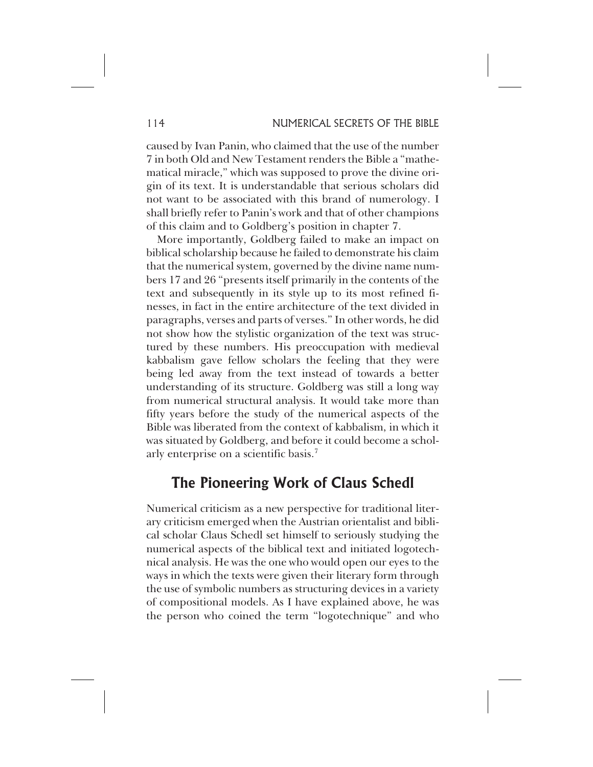caused by Ivan Panin, who claimed that the use of the number 7 in both Old and New Testament renders the Bible a "mathematical miracle," which was supposed to prove the divine origin of its text. It is understandable that serious scholars did not want to be associated with this brand of numerology. I shall briefly refer to Panin's work and that of other champions of this claim and to Goldberg's position in chapter 7.

More importantly, Goldberg failed to make an impact on biblical scholarship because he failed to demonstrate his claim that the numerical system, governed by the divine name numbers 17 and 26 "presents itself primarily in the contents of the text and subsequently in its style up to its most refined finesses, in fact in the entire architecture of the text divided in paragraphs, verses and parts of verses." In other words, he did not show how the stylistic organization of the text was structured by these numbers. His preoccupation with medieval kabbalism gave fellow scholars the feeling that they were being led away from the text instead of towards a better understanding of its structure. Goldberg was still a long way from numerical structural analysis. It would take more than fifty years before the study of the numerical aspects of the Bible was liberated from the context of kabbalism, in which it was situated by Goldberg, and before it could become a scholarly enterprise on a scientific basis.<sup>7</sup>

# **The Pioneering Work of Claus Schedl**

Numerical criticism as a new perspective for traditional literary criticism emerged when the Austrian orientalist and biblical scholar Claus Schedl set himself to seriously studying the numerical aspects of the biblical text and initiated logotechnical analysis. He was the one who would open our eyes to the ways in which the texts were given their literary form through the use of symbolic numbers as structuring devices in a variety of compositional models. As I have explained above, he was the person who coined the term "logotechnique" and who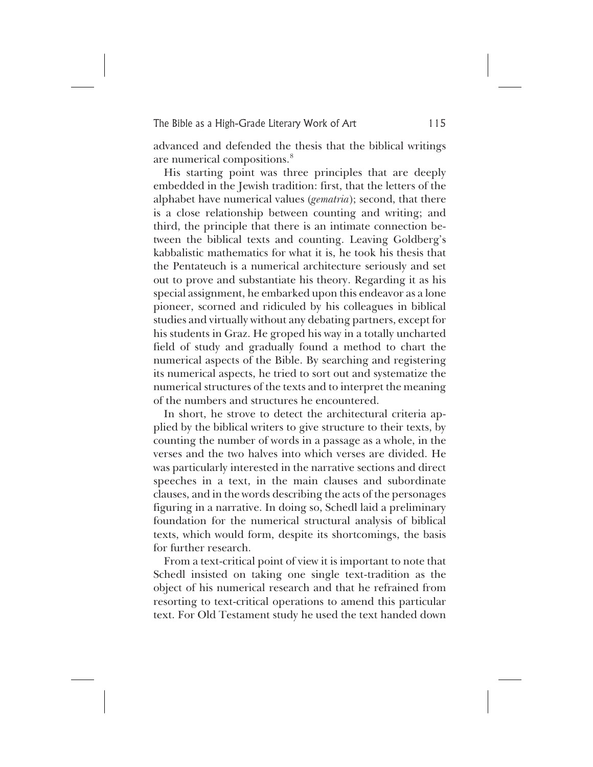advanced and defended the thesis that the biblical writings are numerical compositions.<sup>8</sup>

His starting point was three principles that are deeply embedded in the Jewish tradition: first, that the letters of the alphabet have numerical values (*gematria*); second, that there is a close relationship between counting and writing; and third, the principle that there is an intimate connection between the biblical texts and counting. Leaving Goldberg's kabbalistic mathematics for what it is, he took his thesis that the Pentateuch is a numerical architecture seriously and set out to prove and substantiate his theory. Regarding it as his special assignment, he embarked upon this endeavor as a lone pioneer, scorned and ridiculed by his colleagues in biblical studies and virtually without any debating partners, except for his students in Graz. He groped his way in a totally uncharted field of study and gradually found a method to chart the numerical aspects of the Bible. By searching and registering its numerical aspects, he tried to sort out and systematize the numerical structures of the texts and to interpret the meaning of the numbers and structures he encountered.

In short, he strove to detect the architectural criteria applied by the biblical writers to give structure to their texts, by counting the number of words in a passage as a whole, in the verses and the two halves into which verses are divided. He was particularly interested in the narrative sections and direct speeches in a text, in the main clauses and subordinate clauses, and in the words describing the acts of the personages figuring in a narrative. In doing so, Schedl laid a preliminary foundation for the numerical structural analysis of biblical texts, which would form, despite its shortcomings, the basis for further research.

From a text-critical point of view it is important to note that Schedl insisted on taking one single text-tradition as the object of his numerical research and that he refrained from resorting to text-critical operations to amend this particular text. For Old Testament study he used the text handed down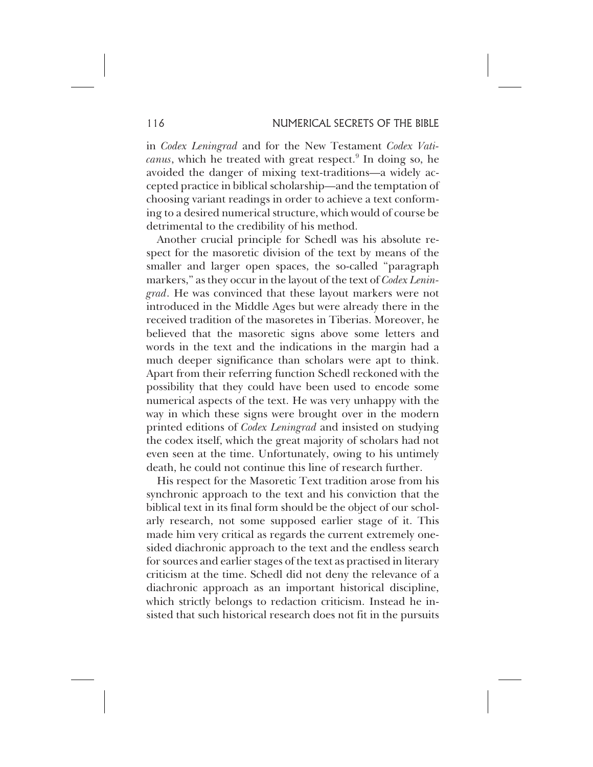in *Codex Leningrad* and for the New Testament *Codex Vaticanus*, which he treated with great respect.<sup>9</sup> In doing so, he avoided the danger of mixing text-traditions—a widely accepted practice in biblical scholarship—and the temptation of choosing variant readings in order to achieve a text conforming to a desired numerical structure, which would of course be detrimental to the credibility of his method.

Another crucial principle for Schedl was his absolute respect for the masoretic division of the text by means of the smaller and larger open spaces, the so-called "paragraph markers," as they occur in the layout of the text of *Codex Leningrad*. He was convinced that these layout markers were not introduced in the Middle Ages but were already there in the received tradition of the masoretes in Tiberias. Moreover, he believed that the masoretic signs above some letters and words in the text and the indications in the margin had a much deeper significance than scholars were apt to think. Apart from their referring function Schedl reckoned with the possibility that they could have been used to encode some numerical aspects of the text. He was very unhappy with the way in which these signs were brought over in the modern printed editions of *Codex Leningrad* and insisted on studying the codex itself, which the great majority of scholars had not even seen at the time. Unfortunately, owing to his untimely death, he could not continue this line of research further.

His respect for the Masoretic Text tradition arose from his synchronic approach to the text and his conviction that the biblical text in its final form should be the object of our scholarly research, not some supposed earlier stage of it. This made him very critical as regards the current extremely onesided diachronic approach to the text and the endless search for sources and earlier stages of the text as practised in literary criticism at the time. Schedl did not deny the relevance of a diachronic approach as an important historical discipline, which strictly belongs to redaction criticism. Instead he insisted that such historical research does not fit in the pursuits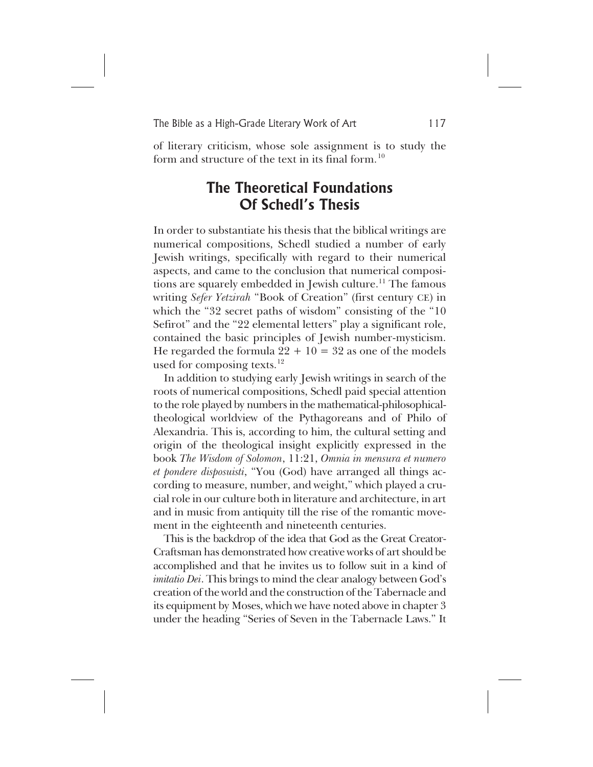of literary criticism, whose sole assignment is to study the form and structure of the text in its final form.<sup>10</sup>

# **The Theoretical Foundations Of Schedl's Thesis**

In order to substantiate his thesis that the biblical writings are numerical compositions, Schedl studied a number of early Jewish writings, specifically with regard to their numerical aspects, and came to the conclusion that numerical compositions are squarely embedded in Jewish culture.<sup>11</sup> The famous writing *Sefer Yetzirah* "Book of Creation" (first century CE) in which the "32 secret paths of wisdom" consisting of the "10 Sefirot" and the "22 elemental letters" play a significant role, contained the basic principles of Jewish number-mysticism. He regarded the formula  $22 + 10 = 32$  as one of the models used for composing texts.<sup>12</sup>

In addition to studying early Jewish writings in search of the roots of numerical compositions, Schedl paid special attention to the role played by numbers in the mathematical-philosophicaltheological worldview of the Pythagoreans and of Philo of Alexandria. This is, according to him, the cultural setting and origin of the theological insight explicitly expressed in the book *The Wisdom of Solomon*, 11:21, *Omnia in mensura et numero et pondere disposuisti*, "You (God) have arranged all things according to measure, number, and weight," which played a crucial role in our culture both in literature and architecture, in art and in music from antiquity till the rise of the romantic movement in the eighteenth and nineteenth centuries.

This is the backdrop of the idea that God as the Great Creator-Craftsman has demonstrated how creative works of art should be accomplished and that he invites us to follow suit in a kind of *imitatio Dei*. This brings to mind the clear analogy between God's creation of the world and the construction of the Tabernacle and its equipment by Moses, which we have noted above in chapter 3 under the heading "Series of Seven in the Tabernacle Laws." It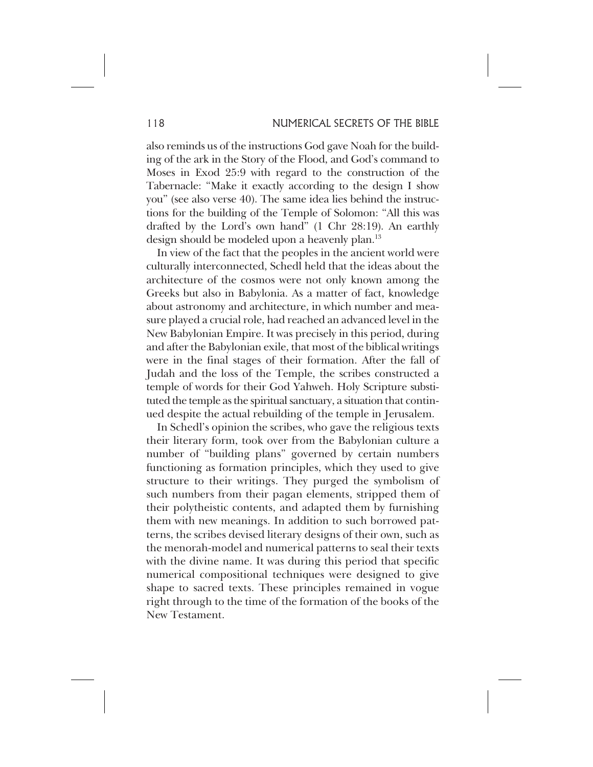also reminds us of the instructions God gave Noah for the building of the ark in the Story of the Flood, and God's command to Moses in Exod 25:9 with regard to the construction of the Tabernacle: "Make it exactly according to the design I show you" (see also verse 40). The same idea lies behind the instructions for the building of the Temple of Solomon: "All this was drafted by the Lord's own hand" (1 Chr 28:19). An earthly design should be modeled upon a heavenly plan.<sup>13</sup>

In view of the fact that the peoples in the ancient world were culturally interconnected, Schedl held that the ideas about the architecture of the cosmos were not only known among the Greeks but also in Babylonia. As a matter of fact, knowledge about astronomy and architecture, in which number and measure played a crucial role, had reached an advanced level in the New Babylonian Empire. It was precisely in this period, during and after the Babylonian exile, that most of the biblical writings were in the final stages of their formation. After the fall of Judah and the loss of the Temple, the scribes constructed a temple of words for their God Yahweh. Holy Scripture substituted the temple as the spiritual sanctuary, a situation that continued despite the actual rebuilding of the temple in Jerusalem.

In Schedl's opinion the scribes, who gave the religious texts their literary form, took over from the Babylonian culture a number of "building plans" governed by certain numbers functioning as formation principles, which they used to give structure to their writings. They purged the symbolism of such numbers from their pagan elements, stripped them of their polytheistic contents, and adapted them by furnishing them with new meanings. In addition to such borrowed patterns, the scribes devised literary designs of their own, such as the menorah-model and numerical patterns to seal their texts with the divine name. It was during this period that specific numerical compositional techniques were designed to give shape to sacred texts. These principles remained in vogue right through to the time of the formation of the books of the New Testament.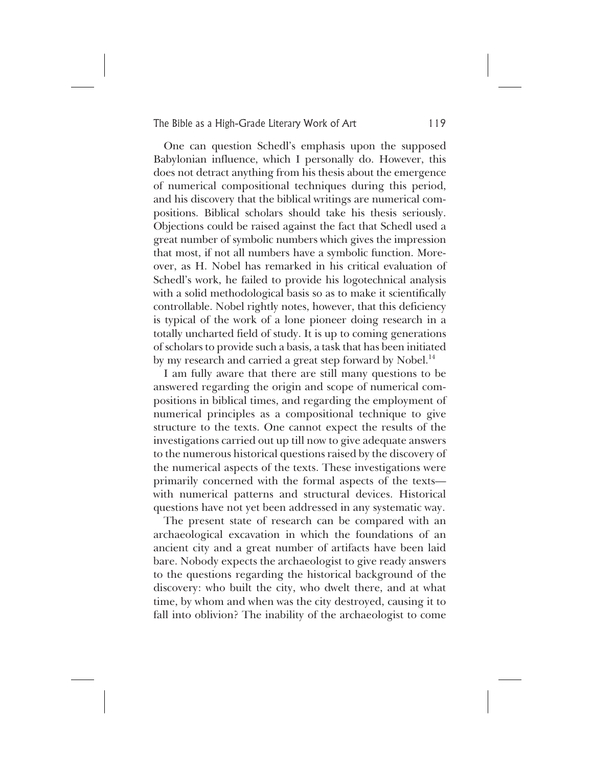One can question Schedl's emphasis upon the supposed Babylonian influence, which I personally do. However, this does not detract anything from his thesis about the emergence of numerical compositional techniques during this period, and his discovery that the biblical writings are numerical compositions. Biblical scholars should take his thesis seriously. Objections could be raised against the fact that Schedl used a great number of symbolic numbers which gives the impression that most, if not all numbers have a symbolic function. Moreover, as H. Nobel has remarked in his critical evaluation of Schedl's work, he failed to provide his logotechnical analysis with a solid methodological basis so as to make it scientifically controllable. Nobel rightly notes, however, that this deficiency is typical of the work of a lone pioneer doing research in a totally uncharted field of study. It is up to coming generations of scholars to provide such a basis, a task that has been initiated by my research and carried a great step forward by Nobel.<sup>14</sup>

I am fully aware that there are still many questions to be answered regarding the origin and scope of numerical compositions in biblical times, and regarding the employment of numerical principles as a compositional technique to give structure to the texts. One cannot expect the results of the investigations carried out up till now to give adequate answers to the numerous historical questions raised by the discovery of the numerical aspects of the texts. These investigations were primarily concerned with the formal aspects of the texts with numerical patterns and structural devices. Historical questions have not yet been addressed in any systematic way.

The present state of research can be compared with an archaeological excavation in which the foundations of an ancient city and a great number of artifacts have been laid bare. Nobody expects the archaeologist to give ready answers to the questions regarding the historical background of the discovery: who built the city, who dwelt there, and at what time, by whom and when was the city destroyed, causing it to fall into oblivion? The inability of the archaeologist to come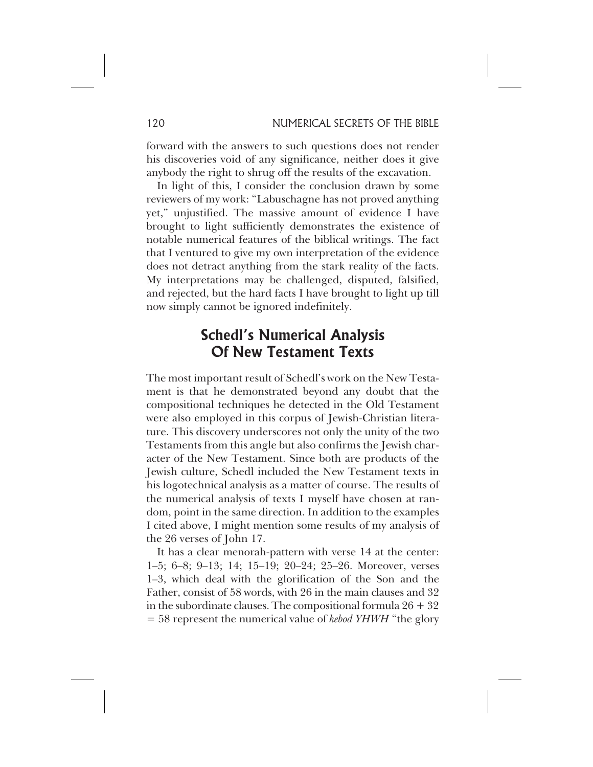forward with the answers to such questions does not render his discoveries void of any significance, neither does it give anybody the right to shrug off the results of the excavation.

In light of this, I consider the conclusion drawn by some reviewers of my work: "Labuschagne has not proved anything yet," unjustified. The massive amount of evidence I have brought to light sufficiently demonstrates the existence of notable numerical features of the biblical writings. The fact that I ventured to give my own interpretation of the evidence does not detract anything from the stark reality of the facts. My interpretations may be challenged, disputed, falsified, and rejected, but the hard facts I have brought to light up till now simply cannot be ignored indefinitely.

# **Schedl's Numerical Analysis Of New Testament Texts**

The most important result of Schedl's work on the New Testament is that he demonstrated beyond any doubt that the compositional techniques he detected in the Old Testament were also employed in this corpus of Jewish-Christian literature. This discovery underscores not only the unity of the two Testaments from this angle but also confirms the Jewish character of the New Testament. Since both are products of the Jewish culture, Schedl included the New Testament texts in his logotechnical analysis as a matter of course. The results of the numerical analysis of texts I myself have chosen at random, point in the same direction. In addition to the examples I cited above, I might mention some results of my analysis of the 26 verses of John 17.

It has a clear menorah-pattern with verse 14 at the center: 1–5; 6–8; 9–13; 14; 15–19; 20–24; 25–26. Moreover, verses 1–3, which deal with the glorification of the Son and the Father, consist of 58 words, with 26 in the main clauses and 32 in the subordinate clauses. The compositional formula  $26 + 32$ = 58 represent the numerical value of *kebod YHWH* "the glory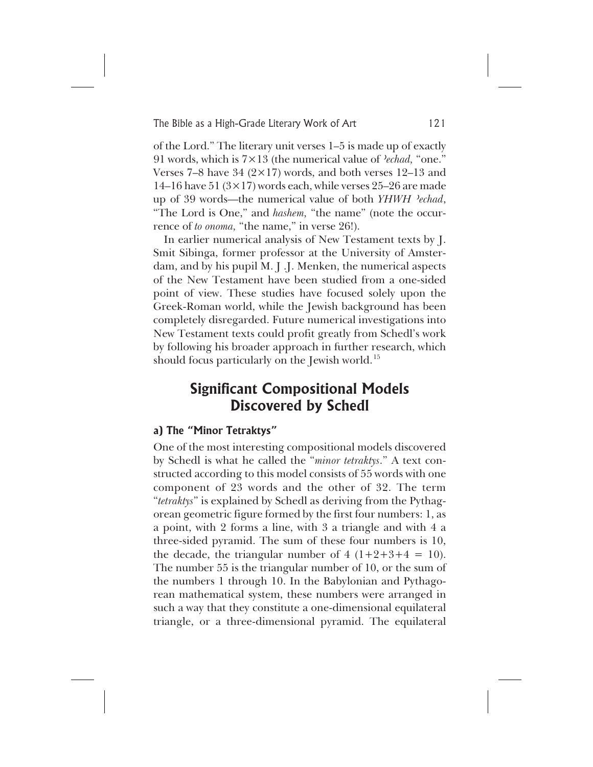of the Lord." The literary unit verses 1–5 is made up of exactly 91 words, which is  $7 \times 13$  (the numerical value of *'echad*, "one." Verses 7–8 have 34  $(2 \times 17)$  words, and both verses 12–13 and 14–16 have 51 ( $3 \times 17$ ) words each, while verses 25–26 are made up of 39 words—the numerical value of both *YHWH <sup>3</sup>echad*, "The Lord is One," and *hashem,* "the name" (note the occurrence of *to onoma,* "the name," in verse 26!).

In earlier numerical analysis of New Testament texts by J. Smit Sibinga, former professor at the University of Amsterdam, and by his pupil M. J .J. Menken, the numerical aspects of the New Testament have been studied from a one-sided point of view. These studies have focused solely upon the Greek-Roman world, while the Jewish background has been completely disregarded. Future numerical investigations into New Testament texts could profit greatly from Schedl's work by following his broader approach in further research, which should focus particularly on the Jewish world.<sup>15</sup>

# **Significant Compositional Models Discovered by Schedl**

### **a) The "Minor Tetraktys"**

One of the most interesting compositional models discovered by Schedl is what he called the "*minor tetraktys*." A text constructed according to this model consists of 55 words with one component of 23 words and the other of 32. The term "*tetraktys*" is explained by Schedl as deriving from the Pythagorean geometric figure formed by the first four numbers: 1, as a point, with 2 forms a line, with 3 a triangle and with 4 a three-sided pyramid. The sum of these four numbers is 10, the decade, the triangular number of  $4(1+2+3+4=10)$ . The number 55 is the triangular number of 10, or the sum of the numbers 1 through 10. In the Babylonian and Pythagorean mathematical system, these numbers were arranged in such a way that they constitute a one-dimensional equilateral triangle, or a three-dimensional pyramid. The equilateral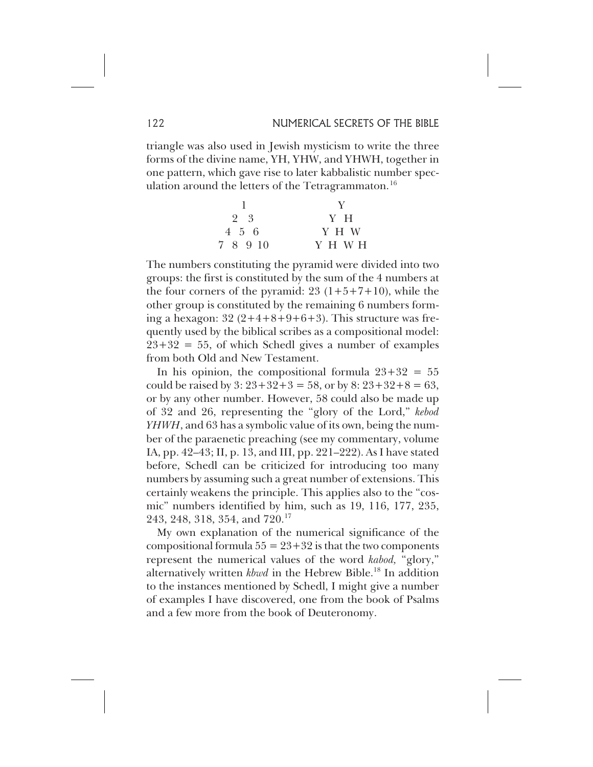triangle was also used in Jewish mysticism to write the three forms of the divine name, YH, YHW, and YHWH, together in one pattern, which gave rise to later kabbalistic number speculation around the letters of the Tetragrammaton.<sup>16</sup>

|          | Y       |
|----------|---------|
| 2 3      | Y H     |
| 4 5 6    | Y H W   |
| 7 8 9 10 | Y H W H |

The numbers constituting the pyramid were divided into two groups: the first is constituted by the sum of the 4 numbers at the four corners of the pyramid:  $23(1+5+7+10)$ , while the other group is constituted by the remaining 6 numbers forming a hexagon:  $32(2+4+8+9+6+3)$ . This structure was frequently used by the biblical scribes as a compositional model:  $23+32 = 55$ , of which Schedl gives a number of examples from both Old and New Testament.

In his opinion, the compositional formula  $23+32 = 55$ could be raised by  $3: 23+32+3 = 58$ , or by  $8: 23+32+8 = 63$ , or by any other number. However, 58 could also be made up of 32 and 26, representing the "glory of the Lord," *kebod YHWH*, and 63 has a symbolic value of its own, being the number of the paraenetic preaching (see my commentary, volume IA, pp. 42–43; II, p. 13, and III, pp. 221–222). As I have stated before, Schedl can be criticized for introducing too many numbers by assuming such a great number of extensions. This certainly weakens the principle. This applies also to the "cosmic" numbers identified by him, such as 19, 116, 177, 235, 243, 248, 318, 354, and 720.<sup>17</sup>

My own explanation of the numerical significance of the compositional formula  $55 = 23 + 32$  is that the two components represent the numerical values of the word *kabod,* "glory," alternatively written *kbwd* in the Hebrew Bible.<sup>18</sup> In addition to the instances mentioned by Schedl, I might give a number of examples I have discovered, one from the book of Psalms and a few more from the book of Deuteronomy.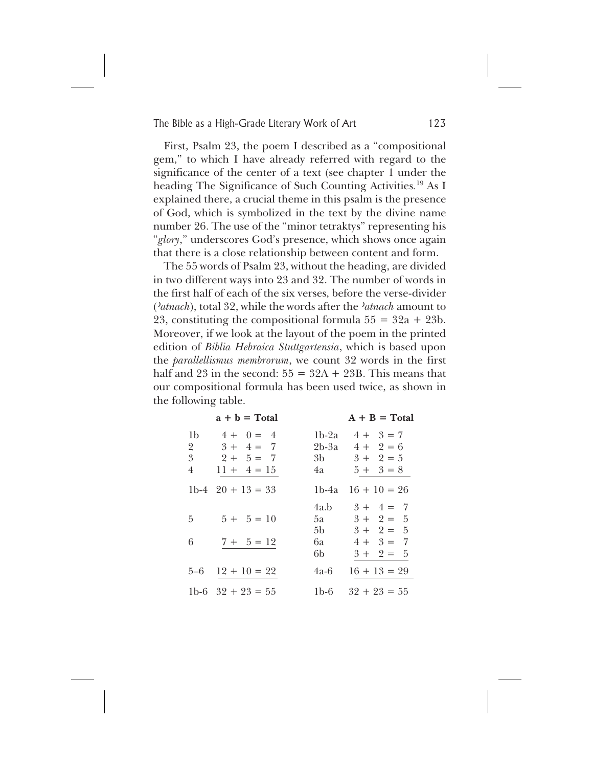First, Psalm 23, the poem I described as a "compositional gem," to which I have already referred with regard to the significance of the center of a text (see chapter 1 under the heading The Significance of Such Counting Activities*.* <sup>19</sup> As I explained there, a crucial theme in this psalm is the presence of God, which is symbolized in the text by the divine name number 26. The use of the "minor tetraktys" representing his "*glory*," underscores God's presence, which shows once again that there is a close relationship between content and form.

The 55 words of Psalm 23, without the heading, are divided in two different ways into 23 and 32. The number of words in the first half of each of the six verses, before the verse-divider (*aatnach*), total 32, while the words after the *aatnach* amount to 23, constituting the compositional formula  $55 = 32a + 23b$ . Moreover, if we look at the layout of the poem in the printed edition of *Biblia Hebraica Stuttgartensia*, which is based upon the *parallellismus membrorum*, we count 32 words in the first half and 23 in the second:  $55 = 32A + 23B$ . This means that our compositional formula has been used twice, as shown in the following table.

|                                            | $a + b = Total$                                            |                              | $A + B = Total$                                                      |
|--------------------------------------------|------------------------------------------------------------|------------------------------|----------------------------------------------------------------------|
| 1 <sub>b</sub><br>$\overline{2}$<br>3<br>4 | $4 + 0 = 4$<br>$3 + 4 = 7$<br>$2 + 5 = 7$<br>$11 + 4 = 15$ | 3 <sub>b</sub><br>4a         | $1b-2a$ 4 + 3 = 7<br>$2b-3a$ 4 + 2 = 6<br>$3 + 2 = 5$<br>$5 + 3 = 8$ |
|                                            | $1b-4$ $20 + 13 = 33$                                      |                              | $1b-4a$ $16 + 10 = 26$                                               |
| 5                                          | $5 + 5 = 10$                                               | 4a.b<br>5a<br>5 <sub>b</sub> | $3 + 4 = 7$<br>$3 + 2 = 5$<br>$3 + 2 = 5$                            |
| 6                                          | $7 + 5 = 12$                                               | 6а<br>6b -                   | $4 + 3 = 7$<br>$3 + 2 = 5$                                           |
|                                            | $5-6$ $12 + 10 = 22$                                       | $4a-6$                       | $16 + 13 = 29$                                                       |
|                                            | $1b-6$ $32 + 23 = 55$                                      |                              | $1b-6$ $32 + 23 = 55$                                                |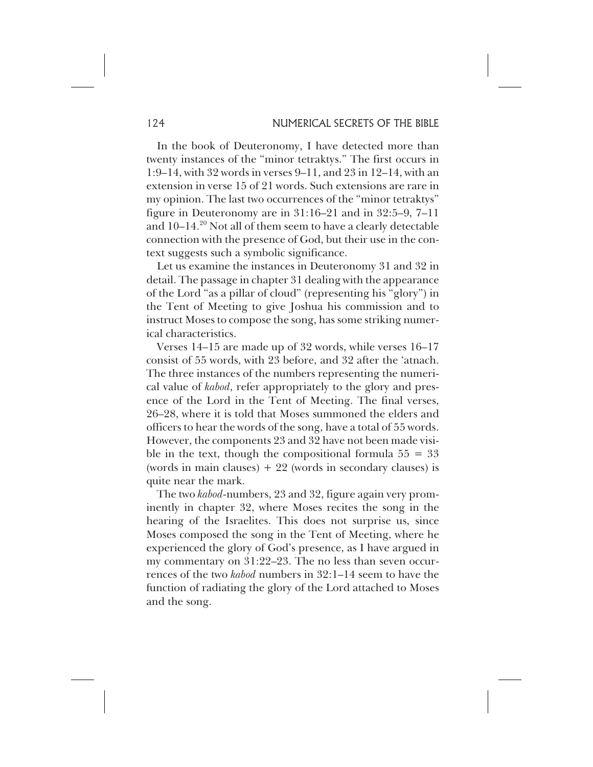In the book of Deuteronomy, I have detected more than twenty instances of the "minor tetraktys." The first occurs in 1:9–14, with 32 words in verses 9–11, and 23 in 12–14, with an extension in verse 15 of 21 words. Such extensions are rare in my opinion. The last two occurrences of the "minor tetraktys" figure in Deuteronomy are in 31:16–21 and in 32:5–9, 7–11 and  $10-14.^{20}$  Not all of them seem to have a clearly detectable connection with the presence of God, but their use in the context suggests such a symbolic significance.

Let us examine the instances in Deuteronomy 31 and 32 in detail. The passage in chapter 31 dealing with the appearance of the Lord "as a pillar of cloud" (representing his "glory") in the Tent of Meeting to give Joshua his commission and to instruct Moses to compose the song, has some striking numerical characteristics.

Verses 14–15 are made up of 32 words, while verses 16–17 consist of 55 words, with 23 before, and 32 after the 'atnach. The three instances of the numbers representing the numerical value of *kabod*, refer appropriately to the glory and presence of the Lord in the Tent of Meeting. The final verses, 26–28, where it is told that Moses summoned the elders and officers to hear the words of the song, have a total of 55 words. However, the components 23 and 32 have not been made visible in the text, though the compositional formula  $55 = 33$ (words in main clauses)  $+ 22$  (words in secondary clauses) is quite near the mark.

The two *kabod*-numbers, 23 and 32, figure again very prominently in chapter 32, where Moses recites the song in the hearing of the Israelites. This does not surprise us, since Moses composed the song in the Tent of Meeting, where he experienced the glory of God's presence, as I have argued in my commentary on 31:22–23. The no less than seven occurrences of the two *kabod* numbers in 32:1–14 seem to have the function of radiating the glory of the Lord attached to Moses and the song.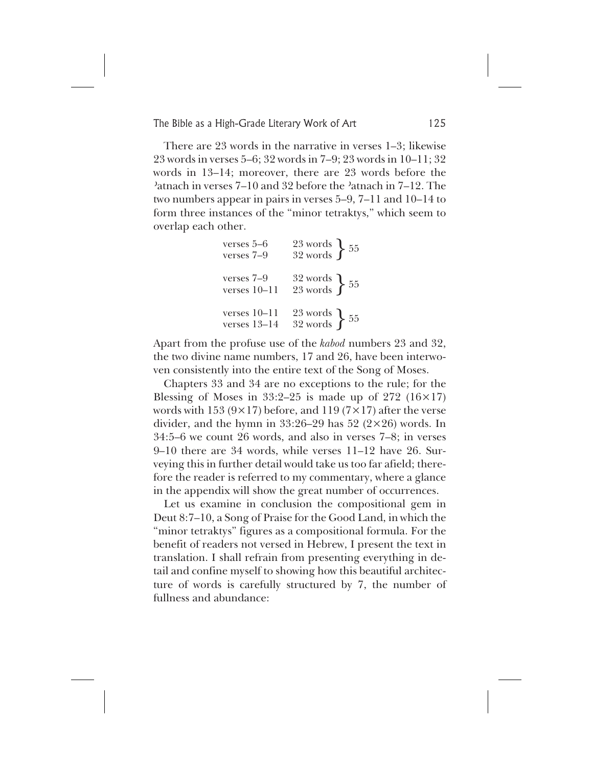There are 23 words in the narrative in verses 1–3; likewise 23 words in verses 5–6; 32 words in 7–9; 23 words in 10–11; 32 words in 13–14; moreover, there are 23 words before the <sup>2</sup> atnach in verses 7–10 and 32 before the <sup>2</sup> atnach in 7–12. The two numbers appear in pairs in verses 5–9, 7–11 and 10–14 to form three instances of the "minor tetraktys," which seem to overlap each other.

```
verses 5-6 23 words \} 55<br>verses 7-9 32 words \}verses 7-9 32 words \left.\rule{0pt}{1.5cm}\right\} 55 verses 10-11 23 words \left.\rule{0pt}{1.5cm}\right\}verses 10-11 23 words \big\} 55 verses 13-14 32 words \big\} 55
```
Apart from the profuse use of the *kabod* numbers 23 and 32, the two divine name numbers, 17 and 26, have been interwoven consistently into the entire text of the Song of Moses.

Chapters 33 and 34 are no exceptions to the rule; for the Blessing of Moses in  $33:2-25$  is made up of  $272$  ( $16\times17$ ) words with 153 ( $9 \times 17$ ) before, and 119 ( $7 \times 17$ ) after the verse divider, and the hymn in  $33:26-29$  has  $52$  ( $2\times26$ ) words. In 34:5–6 we count 26 words, and also in verses 7–8; in verses 9–10 there are 34 words, while verses 11–12 have 26. Surveying this in further detail would take us too far afield; therefore the reader is referred to my commentary, where a glance in the appendix will show the great number of occurrences.

Let us examine in conclusion the compositional gem in Deut 8:7–10, a Song of Praise for the Good Land, in which the "minor tetraktys" figures as a compositional formula. For the benefit of readers not versed in Hebrew, I present the text in translation. I shall refrain from presenting everything in detail and confine myself to showing how this beautiful architecture of words is carefully structured by 7, the number of fullness and abundance: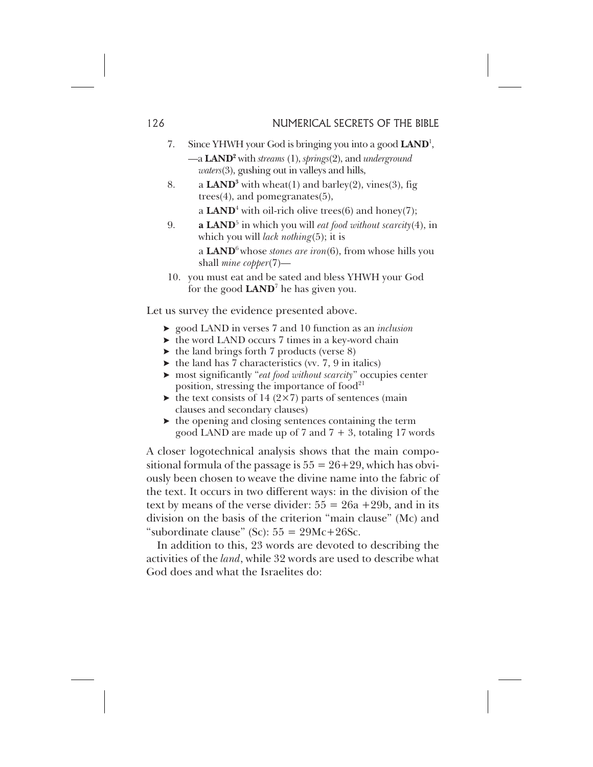- 7. Since YHWH your God is bringing you into a good **LAND**<sup>1</sup> ,
	- —a **LAND2** with *streams* (1), *springs*(2), and *underground waters*(3), gushing out in valleys and hills,
- 8. a **LAND**<sup>3</sup> with wheat(1) and barley(2), vines(3), fig trees(4), and pomegranates(5),
	- a **LAND**<sup>4</sup> with oil-rich olive trees(6) and honey(7);
- 9. **a LAND**<sup>5</sup> in which you will *eat food without scarcity*(4), in which you will *lack nothing*(5); it is

a **LAND**<sup>6</sup> whose *stones are iron*(6), from whose hills you shall *mine copper*(7)—

10. you must eat and be sated and bless YHWH your God for the good **LAND**<sup>7</sup> he has given you.

Let us survey the evidence presented above.

- good LAND in verses 7 and 10 function as an *inclusion*
- $\triangleright$  the word LAND occurs 7 times in a key-word chain
- $\blacktriangleright$  the land brings forth 7 products (verse 8)
- $\blacktriangleright$  the land has 7 characteristics (vv. 7, 9 in italics)
- most significantly "*eat food without scarcity*" occupies center position, stressing the importance of food $21$
- $\blacktriangleright$  the text consists of 14 (2×7) parts of sentences (main clauses and secondary clauses)
- $\blacktriangleright$  the opening and closing sentences containing the term good LAND are made up of  $7$  and  $7 + 3$ , totaling 17 words

A closer logotechnical analysis shows that the main compositional formula of the passage is  $55 = 26+29$ , which has obviously been chosen to weave the divine name into the fabric of the text. It occurs in two different ways: in the division of the text by means of the verse divider:  $55 = 26a + 29b$ , and in its division on the basis of the criterion "main clause" (Mc) and "subordinate clause" (Sc):  $55 = 29$ Mc+26Sc.

In addition to this, 23 words are devoted to describing the activities of the *land*, while 32 words are used to describe what God does and what the Israelites do: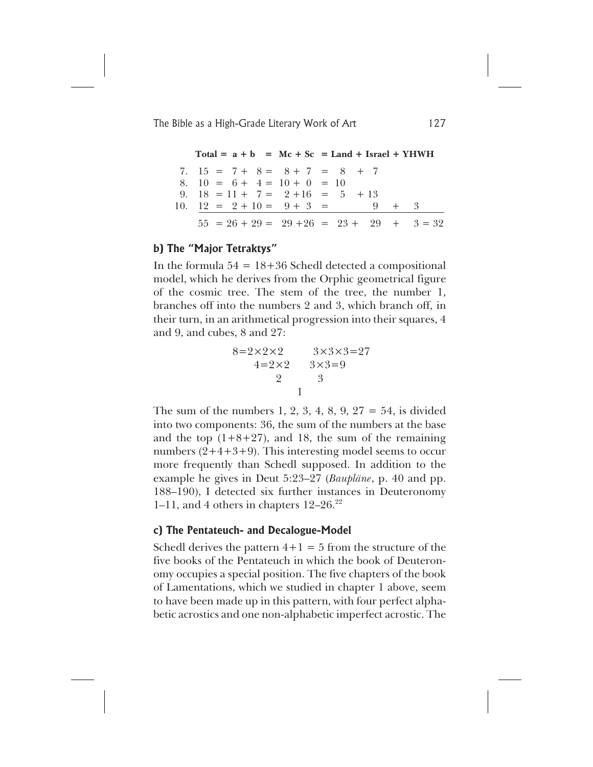## $Total = a + b = Mc + Sc = Land + Israel + YHWH$ 7.  $15 = 7 + 8 = 8 + 7 = 8 + 7$ 8.  $10 = 6 + 4 = 10 + 0 = 10$ 9.  $18 = 11 + 7 = 2 + 16 = 5 + 13$ 10.  $12 = 2 + 10 = 9 + 3 = 9 + 3$  $55 = 26 + 29 = 29 + 26 = 23 + 29 + 3 = 32$

#### **b) The "Major Tetraktys"**

In the formula  $54 = 18 + 36$  Schedl detected a compositional model, which he derives from the Orphic geometrical figure of the cosmic tree. The stem of the tree, the number 1, branches off into the numbers 2 and 3, which branch off, in their turn, in an arithmetical progression into their squares, 4 and 9, and cubes, 8 and 27:

$$
8=2\times2\times2
$$
  
\n
$$
4=2\times2
$$
  
\n
$$
2
$$
  
\n
$$
3\times3\times3=27
$$
  
\n
$$
3\times3=9
$$
  
\n
$$
3
$$
  
\n
$$
3
$$
  
\n
$$
3
$$
  
\n
$$
3=9
$$
  
\n
$$
3
$$
  
\n
$$
3
$$
  
\n
$$
3
$$
  
\n
$$
3
$$
  
\n
$$
3
$$
  
\n
$$
3
$$
  
\n
$$
3
$$
  
\n
$$
3
$$
  
\n
$$
3
$$
  
\n
$$
3
$$
  
\n
$$
3
$$
  
\n
$$
3
$$
  
\n
$$
3
$$
  
\n
$$
3
$$
  
\n
$$
3
$$
  
\n
$$
3
$$

The sum of the numbers 1, 2, 3, 4, 8, 9,  $27 = 54$ , is divided into two components: 36, the sum of the numbers at the base and the top  $(1+8+27)$ , and 18, the sum of the remaining numbers  $(2+4+3+9)$ . This interesting model seems to occur more frequently than Schedl supposed. In addition to the example he gives in Deut 5:23–27 (*Baupläne*, p. 40 and pp. 188–190), I detected six further instances in Deuteronomy 1–11, and 4 others in chapters 12–26.<sup>22</sup>

#### **c) The Pentateuch- and Decalogue-Model**

Schedl derives the pattern  $4+1 = 5$  from the structure of the five books of the Pentateuch in which the book of Deuteronomy occupies a special position. The five chapters of the book of Lamentations, which we studied in chapter 1 above, seem to have been made up in this pattern, with four perfect alphabetic acrostics and one non-alphabetic imperfect acrostic. The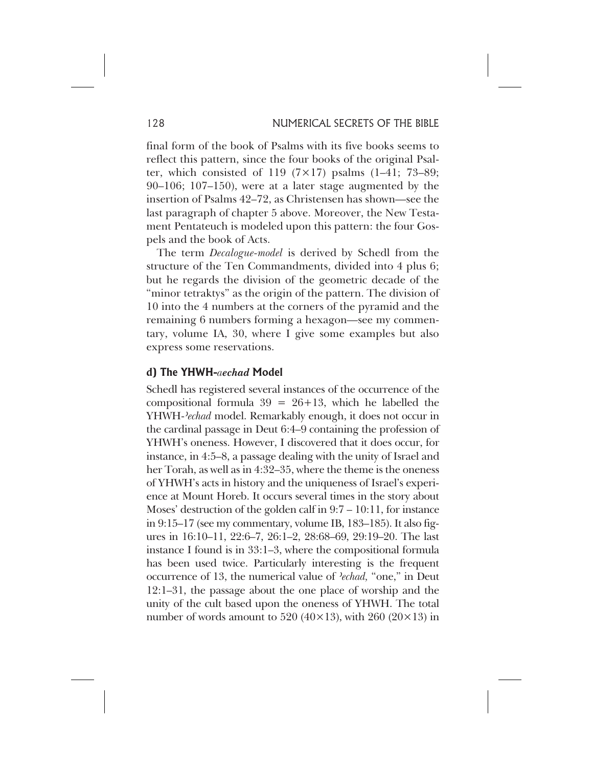final form of the book of Psalms with its five books seems to reflect this pattern, since the four books of the original Psalter, which consisted of 119  $(7 \times 17)$  psalms  $(1-41; 73-89;$ 90–106; 107–150), were at a later stage augmented by the insertion of Psalms 42–72, as Christensen has shown—see the last paragraph of chapter 5 above. Moreover, the New Testament Pentateuch is modeled upon this pattern: the four Gospels and the book of Acts.

The term *Decalogue-model* is derived by Schedl from the structure of the Ten Commandments, divided into 4 plus 6; but he regards the division of the geometric decade of the "minor tetraktys" as the origin of the pattern. The division of 10 into the 4 numbers at the corners of the pyramid and the remaining 6 numbers forming a hexagon—see my commentary, volume IA, 30, where I give some examples but also express some reservations.

#### **d) The YHWH-***aechad* **Model**

Schedl has registered several instances of the occurrence of the compositional formula  $39 = 26+13$ , which he labelled the YHWH-'echad model. Remarkably enough, it does not occur in the cardinal passage in Deut 6:4–9 containing the profession of YHWH's oneness. However, I discovered that it does occur, for instance, in 4:5–8, a passage dealing with the unity of Israel and her Torah, as well as in 4:32–35, where the theme is the oneness of YHWH's acts in history and the uniqueness of Israel's experience at Mount Horeb. It occurs several times in the story about Moses' destruction of the golden calf in 9:7 – 10:11, for instance in 9:15–17 (see my commentary, volume IB, 183–185). It also figures in 16:10–11, 22:6–7, 26:1–2, 28:68–69, 29:19–20. The last instance I found is in 33:1–3, where the compositional formula has been used twice. Particularly interesting is the frequent occurrence of 13, the numerical value of *'echad*, "one," in Deut 12:1–31, the passage about the one place of worship and the unity of the cult based upon the oneness of YHWH. The total number of words amount to 520 (40 $\times$ 13), with 260 (20 $\times$ 13) in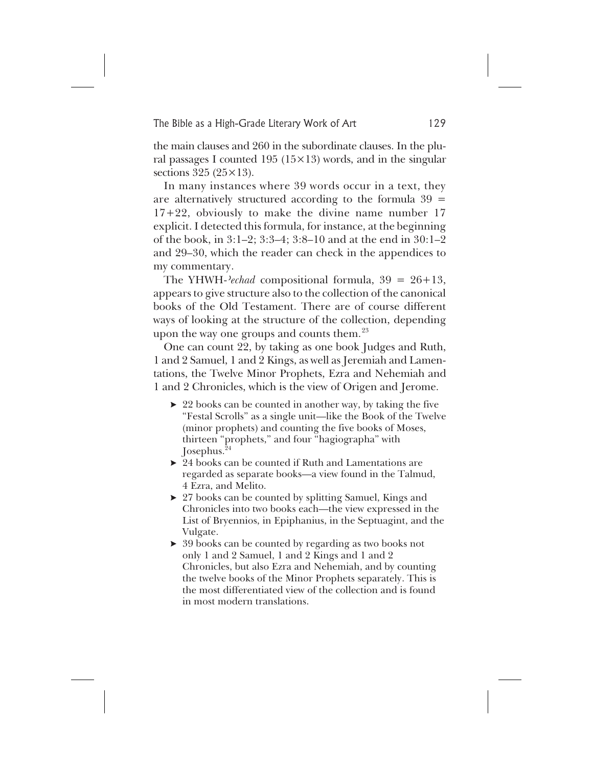the main clauses and 260 in the subordinate clauses. In the plural passages I counted 195 ( $15 \times 13$ ) words, and in the singular sections  $325 (25 \times 13)$ .

In many instances where 39 words occur in a text, they are alternatively structured according to the formula  $39 =$ 17+22, obviously to make the divine name number 17 explicit. I detected this formula, for instance, at the beginning of the book, in 3:1–2; 3:3–4; 3:8–10 and at the end in 30:1–2 and 29–30, which the reader can check in the appendices to my commentary.

The YHWH-*'echad* compositional formula,  $39 = 26+13$ , appears to give structure also to the collection of the canonical books of the Old Testament. There are of course different ways of looking at the structure of the collection, depending upon the way one groups and counts them.<sup>23</sup>

One can count 22, by taking as one book Judges and Ruth, 1 and 2 Samuel, 1 and 2 Kings, as well as Jeremiah and Lamentations, the Twelve Minor Prophets, Ezra and Nehemiah and 1 and 2 Chronicles, which is the view of Origen and Jerome.

- ▶ 22 books can be counted in another way, by taking the five "Festal Scrolls" as a single unit—like the Book of the Twelve (minor prophets) and counting the five books of Moses, thirteen "prophets," and four "hagiographa" with Josephus.<sup>2</sup>
- ▶ 24 books can be counted if Ruth and Lamentations are regarded as separate books—a view found in the Talmud, 4 Ezra, and Melito.
- ▶ 27 books can be counted by splitting Samuel, Kings and Chronicles into two books each—the view expressed in the List of Bryennios, in Epiphanius, in the Septuagint, and the Vulgate.
- ▶ 39 books can be counted by regarding as two books not only 1 and 2 Samuel, 1 and 2 Kings and 1 and 2 Chronicles, but also Ezra and Nehemiah, and by counting the twelve books of the Minor Prophets separately. This is the most differentiated view of the collection and is found in most modern translations.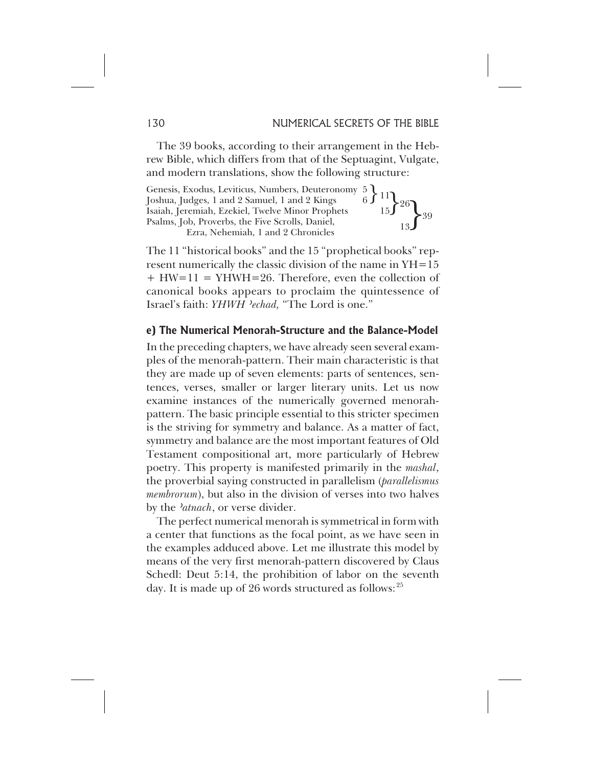The 39 books, according to their arrangement in the Hebrew Bible, which differs from that of the Septuagint, Vulgate, and modern translations, show the following structure:

Genesis, Exodus, Leviticus, Numbers, Deuteronomy 5 Joshua, Judges, 1 and 2 Samuel, 1 and 2 Kings Isaiah, Jeremiah, Ezekiel, Twelve Minor Prophets Psalms, Job, Proverbs, the Five Scrolls, Daniel, Ezra, Nehemiah, 1 and 2 Chronicles  $\left\{\begin{array}{c} 3 \\ 6 \end{array}\right\}$   $\left\{\begin{array}{c} 11 \\ 15 \end{array}\right\}$  26

The 11 "historical books" and the 15 "prophetical books" represent numerically the classic division of the name in YH=15  $+$  HW=11 = YHWH=26. Therefore, even the collection of canonical books appears to proclaim the quintessence of Israel's faith: *YHWH 'echad*, "The Lord is one."

#### **e) The Numerical Menorah-Structure and the Balance-Model**

In the preceding chapters, we have already seen several examples of the menorah-pattern. Their main characteristic is that they are made up of seven elements: parts of sentences, sentences, verses, smaller or larger literary units. Let us now examine instances of the numerically governed menorahpattern. The basic principle essential to this stricter specimen is the striving for symmetry and balance. As a matter of fact, symmetry and balance are the most important features of Old Testament compositional art, more particularly of Hebrew poetry. This property is manifested primarily in the *mashal*, the proverbial saying constructed in parallelism (*parallelismus membrorum*), but also in the division of verses into two halves by the *'atnach*, or verse divider.

The perfect numerical menorah is symmetrical in form with a center that functions as the focal point, as we have seen in the examples adduced above. Let me illustrate this model by means of the very first menorah-pattern discovered by Claus Schedl: Deut 5:14, the prohibition of labor on the seventh day. It is made up of 26 words structured as follows: <sup>25</sup>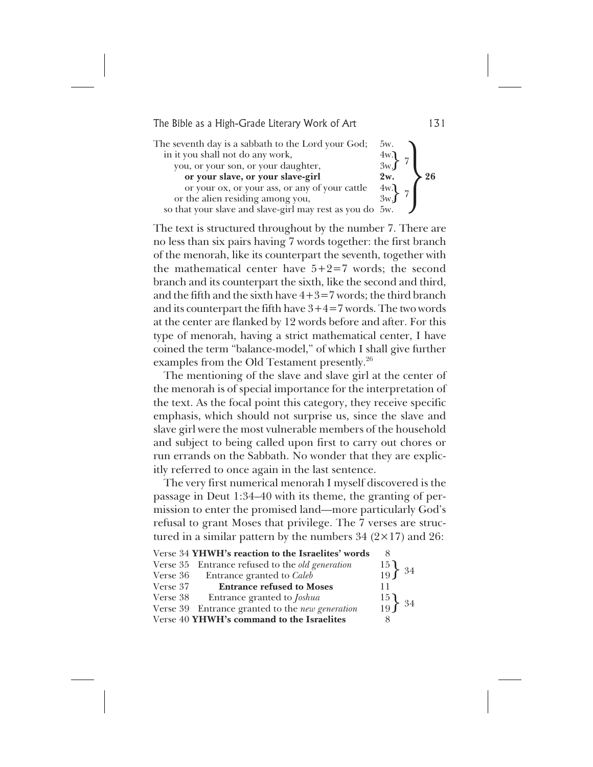| in it you shall not do any work,<br>4w.<br>$3w \int$<br>you, or your son, or your daughter,<br>or your slave, or your slave-girl<br>2w.<br>or your ox, or your ass, or any of your cattle<br>4w.<br>$3w \cdot$<br>or the alien residing among you,<br>so that your slave and slave-girl may rest as you do 5w. |  | 26 |
|----------------------------------------------------------------------------------------------------------------------------------------------------------------------------------------------------------------------------------------------------------------------------------------------------------------|--|----|
|----------------------------------------------------------------------------------------------------------------------------------------------------------------------------------------------------------------------------------------------------------------------------------------------------------------|--|----|

The text is structured throughout by the number 7. There are no less than six pairs having 7 words together: the first branch of the menorah, like its counterpart the seventh, together with the mathematical center have  $5+2=7$  words; the second branch and its counterpart the sixth, like the second and third, and the fifth and the sixth have  $4+3=7$  words; the third branch and its counterpart the fifth have  $3+4=7$  words. The two words at the center are flanked by 12 words before and after. For this type of menorah, having a strict mathematical center, I have coined the term "balance-model," of which I shall give further examples from the Old Testament presently.<sup>26</sup>

The mentioning of the slave and slave girl at the center of the menorah is of special importance for the interpretation of the text. As the focal point this category, they receive specific emphasis, which should not surprise us, since the slave and slave girl were the most vulnerable members of the household and subject to being called upon first to carry out chores or run errands on the Sabbath. No wonder that they are explicitly referred to once again in the last sentence.

The very first numerical menorah I myself discovered is the passage in Deut 1:34–40 with its theme, the granting of permission to enter the promised land—more particularly God's refusal to grant Moses that privilege. The 7 verses are structured in a similar pattern by the numbers 34  $(2 \times 17)$  and 26:

| Verse 34 YHWH's reaction to the Israelites' words         |                                            |
|-----------------------------------------------------------|--------------------------------------------|
| Verse 35 Entrance refused to the old generation           | $\begin{array}{c} 15 \\ 19 \end{array}$ 34 |
| Entrance granted to <i>Caleb</i><br>Verse 36              |                                            |
| <b>Entrance refused to Moses</b><br>Verse 37              |                                            |
| Entrance granted to Joshua<br>Verse 38                    | $\frac{15}{19}$ 34                         |
| Entrance granted to the <i>new generation</i><br>Verse 39 |                                            |
| Verse 40 YHWH's command to the Israelites                 | x                                          |
|                                                           |                                            |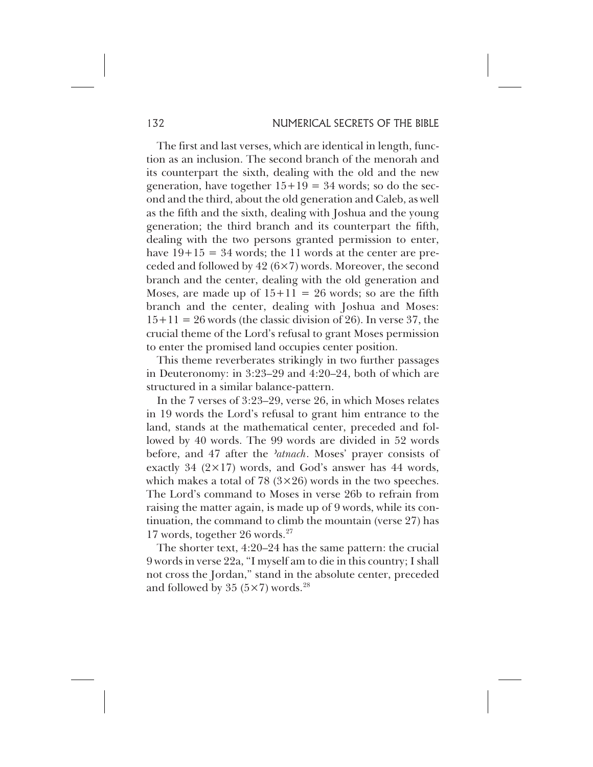The first and last verses, which are identical in length, function as an inclusion. The second branch of the menorah and its counterpart the sixth, dealing with the old and the new generation, have together  $15+19 = 34$  words; so do the second and the third, about the old generation and Caleb, as well as the fifth and the sixth, dealing with Joshua and the young generation; the third branch and its counterpart the fifth, dealing with the two persons granted permission to enter, have  $19+15 = 34$  words; the 11 words at the center are preceded and followed by  $42(6\times7)$  words. Moreover, the second branch and the center, dealing with the old generation and Moses, are made up of  $15+11 = 26$  words; so are the fifth branch and the center, dealing with Joshua and Moses:  $15+11 = 26$  words (the classic division of 26). In verse 37, the crucial theme of the Lord's refusal to grant Moses permission to enter the promised land occupies center position.

This theme reverberates strikingly in two further passages in Deuteronomy: in 3:23–29 and 4:20–24, both of which are structured in a similar balance-pattern.

In the 7 verses of 3:23–29, verse 26, in which Moses relates in 19 words the Lord's refusal to grant him entrance to the land, stands at the mathematical center, preceded and followed by 40 words. The 99 words are divided in 52 words before, and 47 after the *'atnach*. Moses' prayer consists of exactly 34  $(2\times17)$  words, and God's answer has 44 words, which makes a total of 78  $(3\times26)$  words in the two speeches. The Lord's command to Moses in verse 26b to refrain from raising the matter again, is made up of 9 words, while its continuation, the command to climb the mountain (verse 27) has 17 words, together  $26$  words.<sup>27</sup>

The shorter text, 4:20–24 has the same pattern: the crucial 9 words in verse 22a, "I myself am to die in this country; I shall not cross the Jordan," stand in the absolute center, preceded and followed by 35  $(5\times7)$  words.<sup>28</sup>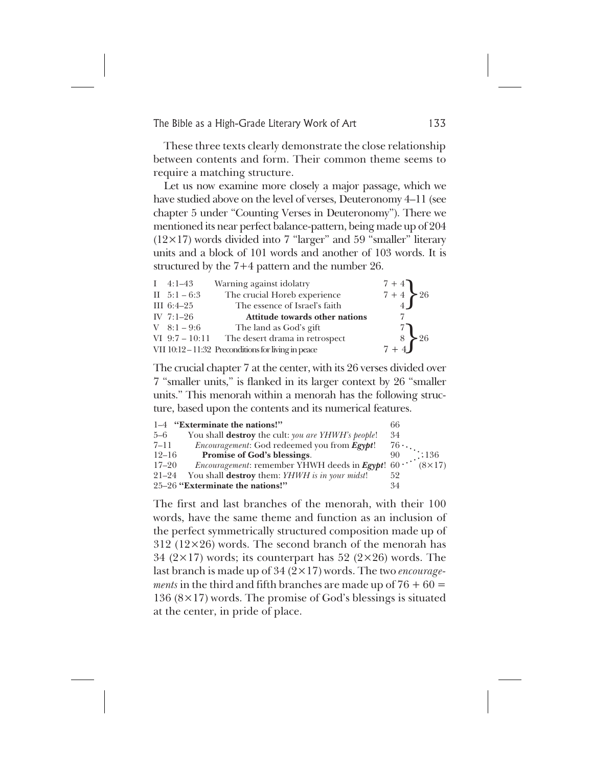These three texts clearly demonstrate the close relationship between contents and form. Their common theme seems to require a matching structure.

Let us now examine more closely a major passage, which we have studied above on the level of verses, Deuteronomy 4–11 (see chapter 5 under "Counting Verses in Deuteronomy"). There we mentioned its near perfect balance-pattern, being made up of 204  $(12\times17)$  words divided into 7 "larger" and 59 "smaller" literary units and a block of 101 words and another of 103 words. It is structured by the 7+4 pattern and the number 26.

| $1 \quad 4:1-43$ | Warning against idolatry                          |                                                        |  |
|------------------|---------------------------------------------------|--------------------------------------------------------|--|
| II $5:1 - 6:3$   | The crucial Horeb experience                      | $\begin{array}{c} 7+4 \\ 7+4 \\ 4 \end{array}$ 26      |  |
| III $6:4-25$     | The essence of Israel's faith                     |                                                        |  |
| IV $7:1-26$      | Attitude towards other nations                    |                                                        |  |
| $V$ 8:1 – 9:6    | The land as God's gift                            |                                                        |  |
| VI $9:7-10:11$   | The desert drama in retrospect                    |                                                        |  |
|                  | VII 10:12-11:32 Preconditions for living in peace | $\begin{array}{c} 8 \\ 7 + 4 \end{array}$ 2 $\epsilon$ |  |

The crucial chapter 7 at the center, with its 26 verses divided over 7 "smaller units," is flanked in its larger context by 26 "smaller units." This menorah within a menorah has the following structure, based upon the contents and its numerical features.

|           | 1–4 "Exterminate the nations!"                                               | 66                     |
|-----------|------------------------------------------------------------------------------|------------------------|
| $5 - 6$   | You shall <b>destroy</b> the cult: you are YHWH's people!                    | 34                     |
| $7 - 11$  | <i>Encouragement:</i> God redeemed you from <b>Egypt!</b>                    | $76 \cdots$            |
| $12 - 16$ | Promise of God's blessings.                                                  | $\therefore$ 136<br>90 |
| $17 - 20$ | <i>Encouragement:</i> remember YHWH deeds in <b>Egypt</b> ! $60 \cdot \cdot$ | $(8\times17)$          |
| $21 - 24$ | You shall destroy them: YHWH is in your midst!                               | 52                     |
|           | 25–26 "Exterminate the nations!"                                             | 34                     |

The first and last branches of the menorah, with their 100 words, have the same theme and function as an inclusion of the perfect symmetrically structured composition made up of  $312$  ( $12\times26$ ) words. The second branch of the menorah has 34 ( $2\times17$ ) words; its counterpart has 52 ( $2\times26$ ) words. The last branch is made up of 34 (2×17) words. The two *encouragements* in the third and fifth branches are made up of  $76 + 60 =$ 136 (8×17) words. The promise of God's blessings is situated at the center, in pride of place.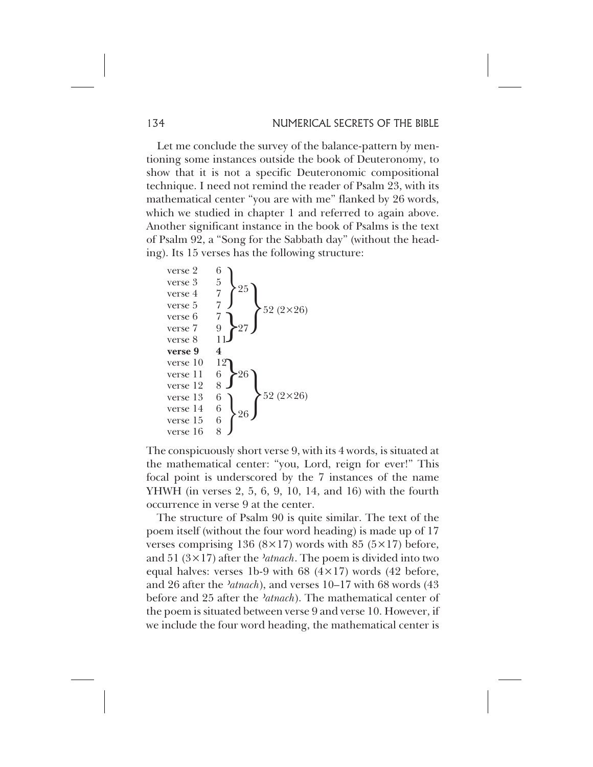Let me conclude the survey of the balance-pattern by mentioning some instances outside the book of Deuteronomy, to show that it is not a specific Deuteronomic compositional technique. I need not remind the reader of Psalm 23, with its mathematical center "you are with me" flanked by 26 words, which we studied in chapter 1 and referred to again above. Another significant instance in the book of Psalms is the text of Psalm 92, a "Song for the Sabbath day" (without the heading). Its 15 verses has the following structure:

```
verse 2
verse 3
verse 4
verse 5 7 \bigvee 52 (2×26)
verse 7
verse 8
verse 9 4
verse 10 12
verse 11
verse 12
verse 13 6 \cdot \left\{ \frac{52}{2 \times 26} \right\}verse 14 \quad 6verse 15
verse 16
                             \sum_{1}\sum_{i=1}^{2}\frac{1}{i}\left\{\begin{array}{c} 1 \\ 1 \end{array}\right\}\left\{\begin{array}{c} 1 \\ 1 \end{array}\right\}\left\{\begin{array}{c} 1 \\ 1 \end{array}\right\}\left\{\begin{array}{c} 1 \\ 1 \end{array}\right\}
```
The conspicuously short verse 9, with its 4 words, is situated at the mathematical center: "you, Lord, reign for ever!" This focal point is underscored by the 7 instances of the name YHWH (in verses 2, 5, 6, 9, 10, 14, and 16) with the fourth occurrence in verse 9 at the center.

The structure of Psalm 90 is quite similar. The text of the poem itself (without the four word heading) is made up of 17 verses comprising 136 ( $8\times17$ ) words with 85 ( $5\times17$ ) before, and 51 ( $3 \times 17$ ) after the *'atnach*. The poem is divided into two equal halves: verses 1b-9 with 68  $(4 \times 17)$  words (42 before, and 26 after the *'atnach*), and verses 10–17 with 68 words (43 before and 25 after the *'atnach*). The mathematical center of the poem is situated between verse 9 and verse 10. However, if we include the four word heading, the mathematical center is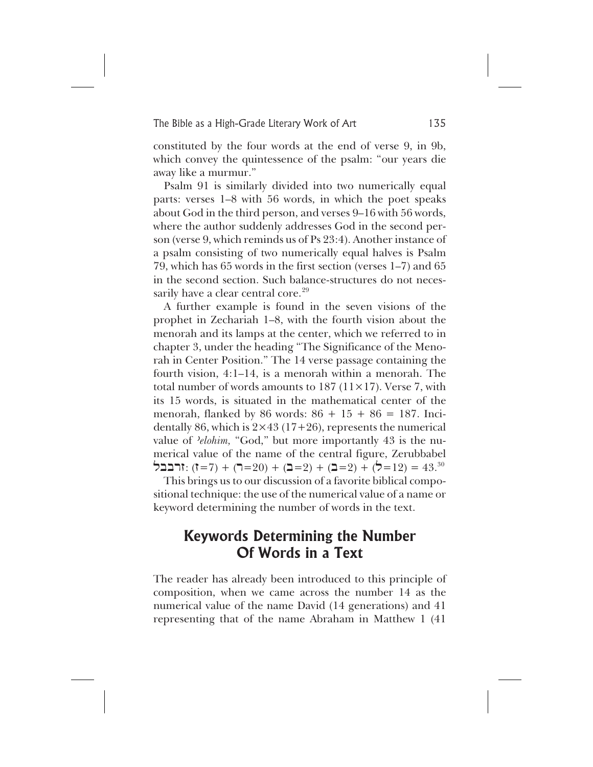constituted by the four words at the end of verse 9, in 9b, which convey the quintessence of the psalm: "our years die away like a murmur."

Psalm 91 is similarly divided into two numerically equal parts: verses 1–8 with 56 words, in which the poet speaks about God in the third person, and verses 9–16 with 56 words, where the author suddenly addresses God in the second person (verse 9, which reminds us of Ps 23:4). Another instance of a psalm consisting of two numerically equal halves is Psalm 79, which has 65 words in the first section (verses 1–7) and 65 in the second section. Such balance-structures do not necessarily have a clear central core.<sup>29</sup>

A further example is found in the seven visions of the prophet in Zechariah 1–8, with the fourth vision about the menorah and its lamps at the center, which we referred to in chapter 3, under the heading "The Significance of the Menorah in Center Position." The 14 verse passage containing the fourth vision, 4:1–14, is a menorah within a menorah. The total number of words amounts to 187 ( $11\times17$ ). Verse 7, with its 15 words, is situated in the mathematical center of the menorah, flanked by 86 words:  $86 + 15 + 86 = 187$ . Incidentally 86, which is  $2\times 43$  (17+26), represents the numerical value of *'elohim*, "God," but more importantly 43 is the numerical value of the name of the central figure, Zerubbabel **LBBRZ**: (**Z**=7) + (**R**=20) + (**B**=2) + (**B**=2) + (**L**=12) = 43.<sup>30</sup>

This brings us to our discussion of a favorite biblical compositional technique: the use of the numerical value of a name or keyword determining the number of words in the text.

# **Keywords Determining the Number Of Words in a Text**

The reader has already been introduced to this principle of composition, when we came across the number 14 as the numerical value of the name David (14 generations) and 41 representing that of the name Abraham in Matthew 1 (41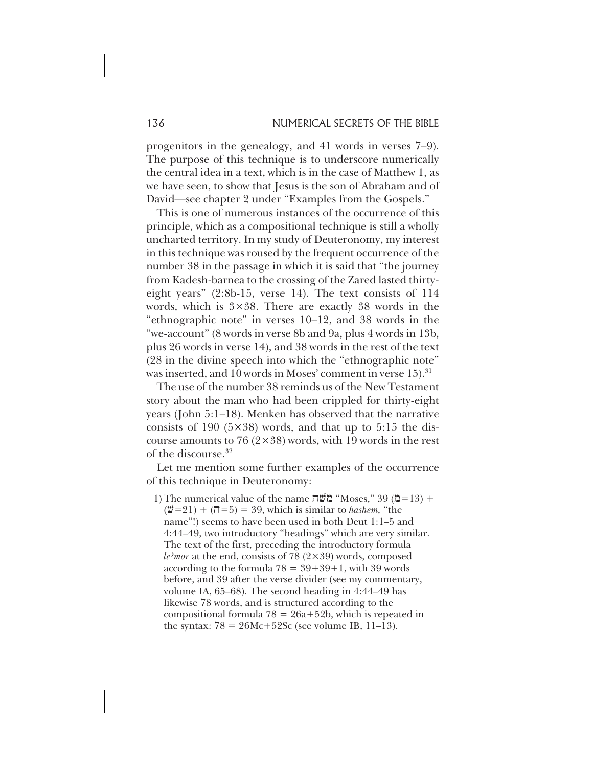progenitors in the genealogy, and 41 words in verses 7–9). The purpose of this technique is to underscore numerically the central idea in a text, which is in the case of Matthew 1, as we have seen, to show that Jesus is the son of Abraham and of David—see chapter 2 under "Examples from the Gospels."

This is one of numerous instances of the occurrence of this principle, which as a compositional technique is still a wholly uncharted territory. In my study of Deuteronomy, my interest in this technique was roused by the frequent occurrence of the number 38 in the passage in which it is said that "the journey from Kadesh-barnea to the crossing of the Zared lasted thirtyeight years" (2:8b-15, verse 14). The text consists of 114 words, which is 3×38. There are exactly 38 words in the "ethnographic note" in verses 10–12, and 38 words in the "we-account" (8 words in verse 8b and 9a, plus 4 words in 13b, plus 26 words in verse 14), and 38 words in the rest of the text (28 in the divine speech into which the "ethnographic note" was inserted, and 10 words in Moses' comment in verse  $15$ ).<sup>31</sup>

The use of the number 38 reminds us of the New Testament story about the man who had been crippled for thirty-eight years (John 5:1–18). Menken has observed that the narrative consists of 190 ( $5\times38$ ) words, and that up to  $5:15$  the discourse amounts to 76 ( $2\times38$ ) words, with 19 words in the rest of the discourse.<sup>32</sup>

Let me mention some further examples of the occurrence of this technique in Deuteronomy:

1) The numerical value of the name  $\vec{w}$  **"** "Moses," 39 ( $\triangle$ =13) +  $(\mathbf{W}=21) + (\mathbf{H}=5) = 39$ , which is similar to *hashem*, "the name"!) seems to have been used in both Deut 1:1–5 and 4:44–49, two introductory "headings" which are very similar. The text of the first, preceding the introductory formula *le mor* at the end, consists of 78 ( $2 \times 39$ ) words, composed according to the formula  $78 = 39+39+1$ , with 39 words before, and 39 after the verse divider (see my commentary, volume IA, 65–68). The second heading in 4:44–49 has likewise 78 words, and is structured according to the compositional formula  $78 = 26a + 52b$ , which is repeated in the syntax:  $78 = 26Mc + 52Sc$  (see volume IB, 11–13).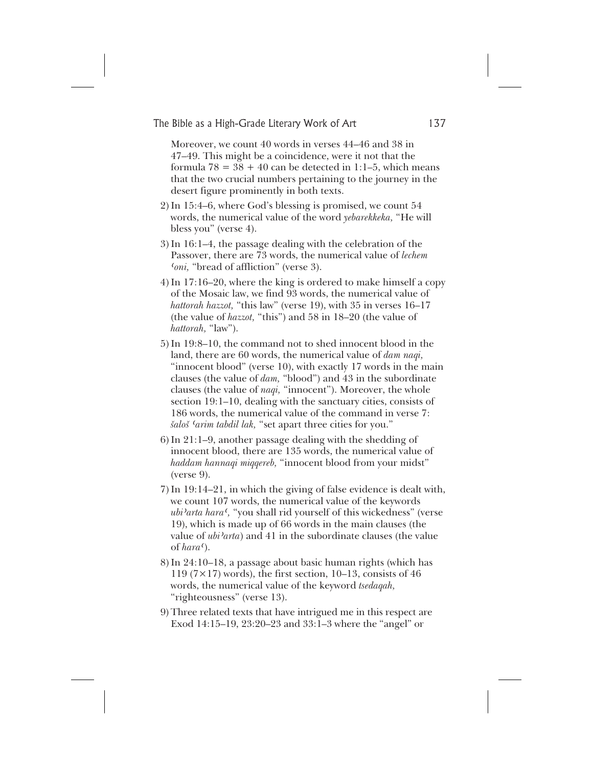Moreover, we count 40 words in verses 44–46 and 38 in 47–49. This might be a coincidence, were it not that the formula  $78 = 38 + 40$  can be detected in 1:1-5, which means that the two crucial numbers pertaining to the journey in the desert figure prominently in both texts.

- 2) In 15:4–6, where God's blessing is promised, we count 54 words, the numerical value of the word *yebarekkeka,* "He will bless you" (verse 4).
- 3) In 16:1–4, the passage dealing with the celebration of the Passover, there are 73 words, the numerical value of *lechem boni,* "bread of affliction" (verse 3).
- 4) In 17:16–20, where the king is ordered to make himself a copy of the Mosaic law, we find 93 words, the numerical value of *hattorah hazzot,* "this law" (verse 19), with 35 in verses 16–17 (the value of *hazzot,* "this") and 58 in 18–20 (the value of *hattorah,* "law").
- 5) In 19:8–10, the command not to shed innocent blood in the land, there are 60 words, the numerical value of *dam naqi,* "innocent blood" (verse 10), with exactly 17 words in the main clauses (the value of *dam,* "blood") and 43 in the subordinate clauses (the value of *naqi,* "innocent"). Moreover, the whole section 19:1–10, dealing with the sanctuary cities, consists of 186 words, the numerical value of the command in verse 7: *šaloš barim tabdil lak,* "set apart three cities for you."
- 6) In 21:1–9, another passage dealing with the shedding of innocent blood, there are 135 words, the numerical value of *haddam hannaqi miqqereb,* "innocent blood from your midst" (verse 9).
- 7) In 19:14–21, in which the giving of false evidence is dealt with, we count 107 words, the numerical value of the keywords *ubi*<sup>2</sup>*arta hara*<sup>*c*</sup>, "you shall rid yourself of this wickedness" (verse 19), which is made up of 66 words in the main clauses (the value of *ubiaarta*) and 41 in the subordinate clauses (the value of *harab*).
- 8) In 24:10–18, a passage about basic human rights (which has  $119 (7\times17)$  words), the first section,  $10-13$ , consists of 46 words, the numerical value of the keyword *tsedaqah,* "righteousness" (verse 13).
- 9) Three related texts that have intrigued me in this respect are Exod 14:15–19, 23:20–23 and 33:1–3 where the "angel" or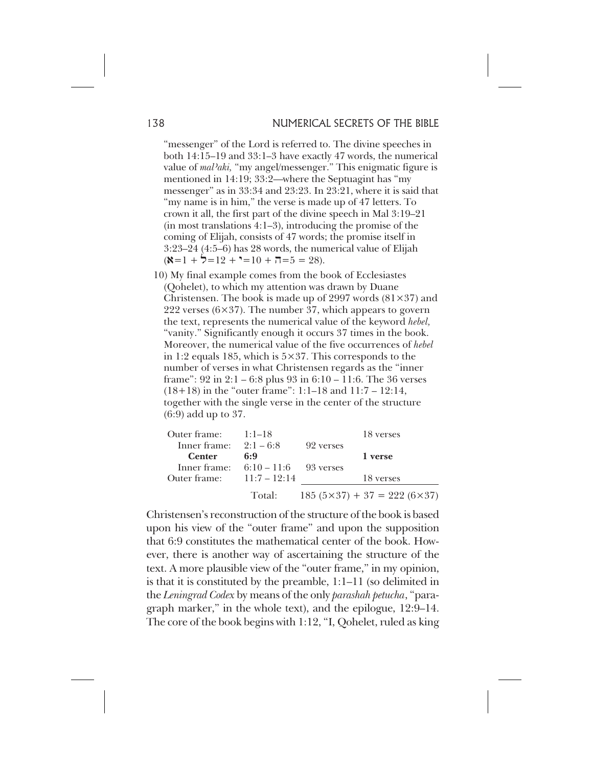"messenger" of the Lord is referred to. The divine speeches in both 14:15–19 and 33:1–3 have exactly 47 words, the numerical value of *malaaki,* "my angel/messenger." This enigmatic figure is mentioned in 14:19; 33:2—where the Septuagint has "my messenger" as in 33:34 and 23:23. In 23:21, where it is said that "my name is in him," the verse is made up of 47 letters. To crown it all, the first part of the divine speech in Mal 3:19–21 (in most translations 4:1–3), introducing the promise of the coming of Elijah, consists of 47 words; the promise itself in 3:23–24 (4:5–6) has 28 words, the numerical value of Elijah  $(X=1 + 7=12 + 7=10 + 7=5 = 28).$ 

10) My final example comes from the book of Ecclesiastes (Qohelet), to which my attention was drawn by Duane Christensen. The book is made up of 2997 words  $(81\times37)$  and 222 verses  $(6\times37)$ . The number 37, which appears to govern the text, represents the numerical value of the keyword *hebel,* "vanity." Significantly enough it occurs 37 times in the book. Moreover, the numerical value of the five occurrences of *hebel* in 1:2 equals 185, which is 5×37. This corresponds to the number of verses in what Christensen regards as the "inner frame": 92 in 2:1 – 6:8 plus 93 in 6:10 – 11:6. The 36 verses (18+18) in the "outer frame": 1:1–18 and 11:7 – 12:14, together with the single verse in the center of the structure (6:9) add up to 37.

| Outer frame: $1:1-18$              |        |           | 18 verses                                    |
|------------------------------------|--------|-----------|----------------------------------------------|
| Inner frame: $2:1-6:8$             |        | 92 verses |                                              |
| <b>Center</b>                      | 6:9    |           | 1 verse                                      |
| Inner frame: $6:10-11:6$ 93 verses |        |           |                                              |
| Outer frame: $11:7-12:14$          |        |           | 18 verses                                    |
|                                    | Total: |           | $185 (5 \times 37) + 37 = 222 (6 \times 37)$ |

Christensen's reconstruction of the structure of the book is based upon his view of the "outer frame" and upon the supposition that 6:9 constitutes the mathematical center of the book. However, there is another way of ascertaining the structure of the text. A more plausible view of the "outer frame," in my opinion, is that it is constituted by the preamble, 1:1–11 (so delimited in the *Leningrad Codex* by means of the only *parashah petucha*, "paragraph marker," in the whole text), and the epilogue, 12:9–14. The core of the book begins with 1:12, "I, Qohelet, ruled as king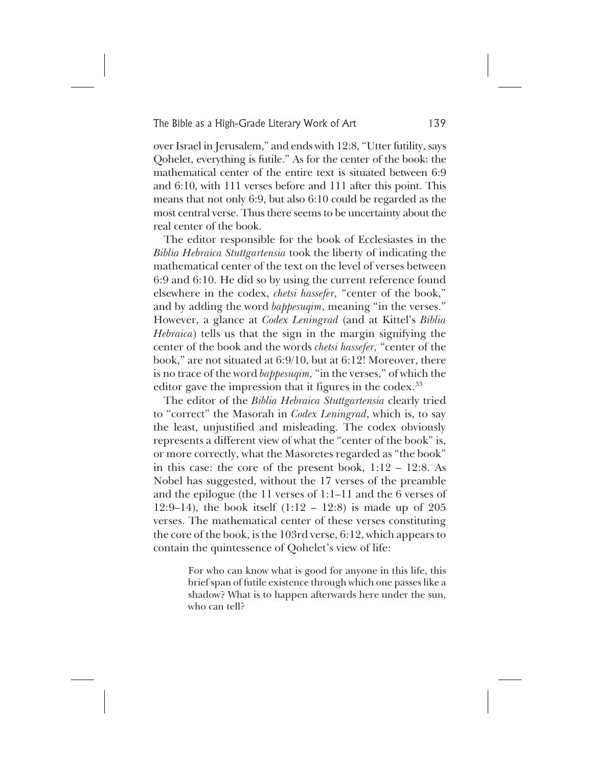over Israel in Jerusalem," and ends with 12:8, "Utter futility, says Qohelet, everything is futile." As for the center of the book: the mathematical center of the entire text is situated between 6:9 and 6:10, with 111 verses before and 111 after this point. This means that not only 6:9, but also 6:10 could be regarded as the most central verse. Thus there seems to be uncertainty about the real center of the book.

The editor responsible for the book of Ecclesiastes in the *Biblia Hebraica Stuttgartensia* took the liberty of indicating the mathematical center of the text on the level of verses between 6:9 and 6:10. He did so by using the current reference found elsewhere in the codex, *chetsi hassefer,* "center of the book," and by adding the word *bappesuqim*, meaning "in the verses." However, a glance at *Codex Leningrad* (and at Kittel's *Biblia Hebraica*) tells us that the sign in the margin signifying the center of the book and the words *chetsi hassefer,* "center of the book," are not situated at 6:9/10, but at 6:12! Moreover, there is no trace of the word *bappesuqim,* "in the verses," of which the editor gave the impression that it figures in the codex.<sup>33</sup>

The editor of the *Biblia Hebraica Stuttgartensia* clearly tried to "correct" the Masorah in *Codex Leningrad*, which is, to say the least, unjustified and misleading. The codex obviously represents a different view of what the "center of the book" is, or more correctly, what the Masoretes regarded as "the book" in this case: the core of the present book, 1:12 – 12:8. As Nobel has suggested, without the 17 verses of the preamble and the epilogue (the 11 verses of 1:1–11 and the 6 verses of 12:9–14), the book itself  $(1:12 - 12:8)$  is made up of 205 verses. The mathematical center of these verses constituting the core of the book, is the 103rd verse, 6:12, which appears to contain the quintessence of Qohelet's view of life:

> For who can know what is good for anyone in this life, this brief span of futile existence through which one passes like a shadow? What is to happen afterwards here under the sun, who can tell?